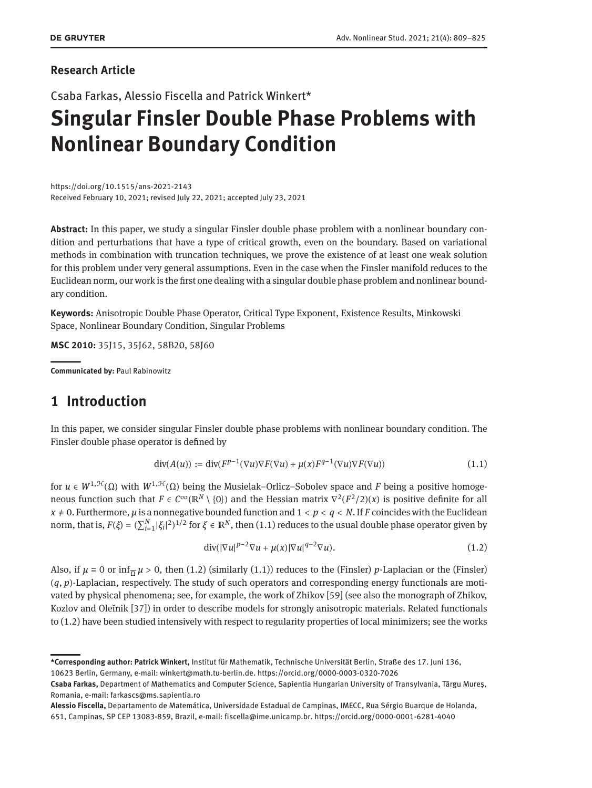### **Research Article**

Csaba Farkas, Alessio Fiscella and Patrick Winkert\*

# **Singular Finsler Double Phase Problems with Nonlinear Boundary Condition**

https://doi.org/10.1515/ans-2021-2143 Received February 10, 2021; revised July 22, 2021; accepted July 23, 2021

**Abstract:** In this paper, we study a singular Finsler double phase problem with a nonlinear boundary condition and perturbations that have a type of critical growth, even on the boundary. Based on variational methods in combination with truncation techniques, we prove the existence of at least one weak solution for this problem under very general assumptions. Even in the case when the Finsler manifold reduces to the Euclidean norm, our work is the first one dealing with a singular double phase problem and nonlinear boundary condition.

**Keywords:** Anisotropic Double Phase Operator, Critical Type Exponent, Existence Results, Minkowski Space, Nonlinear Boundary Condition, Singular Problems

**MSC 2010:** 35J15, 35J62, 58B20, 58J60

||**Communicated by:** Paul Rabinowitz

### **1 Introduction**

In this paper, we consider singular Finsler double phase problems with nonlinear boundary condition. The Finsler double phase operator is defined by

<span id="page-0-0"></span>
$$
\operatorname{div}(A(u)) := \operatorname{div}(F^{p-1}(\nabla u)\nabla F(\nabla u) + \mu(x)F^{q-1}(\nabla u)\nabla F(\nabla u))
$$
\n(1.1)

for  $u \in W^{1,\mathcal{H}}(\Omega)$  with  $W^{1,\mathcal{H}}(\Omega)$  being the Musielak–Orlicz–Sobolev space and *F* being a positive homogeneous function such that  $F \in C^\infty(\mathbb{R}^N \setminus \{0\})$  and the Hessian matrix  $\nabla^2(F^2/2)(x)$  is positive definite for all  $x \neq 0$ . Furthermore,  $\mu$  is a nonnegative bounded function and  $1 < p < q < N$ . If *F* coincides with the Euclidean norm, that is,  $F(\xi) = (\sum_{i=1}^N |\xi_i|^2)^{1/2}$  for  $\xi \in \mathbb{R}^N$ , then [\(1.1\)](#page-0-0) reduces to the usual double phase operator given by

<span id="page-0-1"></span>
$$
\operatorname{div}(|\nabla u|^{p-2} \nabla u + \mu(x)|\nabla u|^{q-2} \nabla u). \tag{1.2}
$$

Also, if  $\mu \equiv 0$  or  $\inf_{\overline{\Omega}} \mu > 0$ , then [\(1.2\)](#page-0-1) (similarly [\(1.1\)](#page-0-0)) reduces to the (Finsler) *p*-Laplacian or the (Finsler) (*q*, *p*)-Laplacian, respectively. The study of such operators and corresponding energy functionals are motivated by physical phenomena; see, for example, the work of Zhikov [\[59\]](#page-16-1) (see also the monograph of Zhikov, Kozlov and Oleĭnik [\[37\]](#page-15-0)) in order to describe models for strongly anisotropic materials. Related functionals to [\(1.2\)](#page-0-1) have been studied intensively with respect to regularity properties of local minimizers; see the works

**<sup>\*</sup>Corresponding author: Patrick Winkert,** Institut für Mathematik, Technische Universität Berlin, Straße des 17. Juni 136, 10623 Berlin, Germany, e-mail: winkert@math.tu-berlin.de. https://orcid.org/0000-0003-0320-7026

**Csaba Farkas,** Department of Mathematics and Computer Science, Sapientia Hungarian University of Transylvania, Târgu Mureş, Romania, e-mail: farkascs@ms.sapientia.ro

**Alessio Fiscella,** Departamento de Matemática, Universidade Estadual de Campinas, IMECC, Rua Sérgio Buarque de Holanda, 651, Campinas, SP CEP 13083-859, Brazil, e-mail: fiscella@ime.unicamp.br. https://orcid.org/0000-0001-6281-4040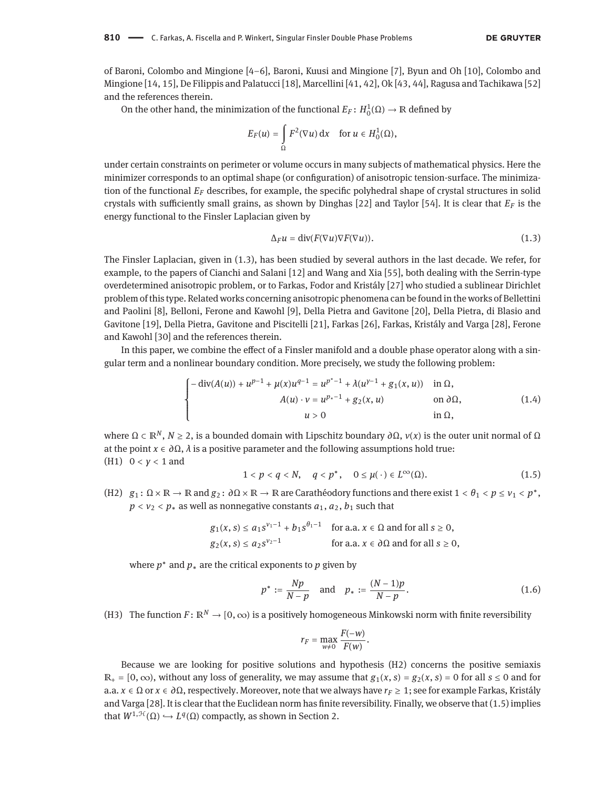of Baroni, Colombo and Mingione [\[4](#page-14-0)[–6\]](#page-14-1), Baroni, Kuusi and Mingione [\[7\]](#page-14-2), Byun and Oh [\[10\]](#page-14-3), Colombo and Mingione [\[14,](#page-14-4) [15\]](#page-14-5), De Filippis and Palatucci [\[18\]](#page-14-6), Marcellini [\[41,](#page-15-1) [42\]](#page-15-2), Ok [\[43,](#page-15-3) [44\]](#page-15-4), Ragusa and Tachikawa [\[52\]](#page-15-5) and the references therein.

On the other hand, the minimization of the functional  $E_F$ :  $H_0^1(Ω) \rightarrow \mathbb{R}$  defined by

$$
E_F(u) = \int_{\Omega} F^2(\nabla u) \, \mathrm{d}x \quad \text{for } u \in H_0^1(\Omega),
$$

under certain constraints on perimeter or volume occurs in many subjects of mathematical physics. Here the minimizer corresponds to an optimal shape (or configuration) of anisotropic tension-surface. The minimization of the functional *E<sup>F</sup>* describes, for example, the specific polyhedral shape of crystal structures in solid crystals with sufficiently small grains, as shown by Dinghas [\[22\]](#page-15-6) and Taylor [\[54\]](#page-15-7). It is clear that *E<sup>F</sup>* is the energy functional to the Finsler Laplacian given by

<span id="page-1-0"></span>
$$
\Delta_F u = \text{div}(F(\nabla u)\nabla F(\nabla u)).\tag{1.3}
$$

The Finsler Laplacian, given in [\(1.3\)](#page-1-0), has been studied by several authors in the last decade. We refer, for example, to the papers of Cianchi and Salani [\[12\]](#page-14-7) and Wang and Xia [\[55\]](#page-16-2), both dealing with the Serrin-type overdetermined anisotropic problem, or to Farkas, Fodor and Kristály [\[27\]](#page-15-8) who studied a sublinear Dirichlet problem of this type. Related works concerning anisotropic phenomena can be found in the works of Bellettini and Paolini [\[8\]](#page-14-8), Belloni, Ferone and Kawohl [\[9\]](#page-14-9), Della Pietra and Gavitone [\[20\]](#page-14-10), Della Pietra, di Blasio and Gavitone [\[19\]](#page-14-11), Della Pietra, Gavitone and Piscitelli [\[21\]](#page-14-12), Farkas [\[26\]](#page-15-9), Farkas, Kristály and Varga [\[28\]](#page-15-10), Ferone and Kawohl [\[30\]](#page-15-11) and the references therein.

In this paper, we combine the effect of a Finsler manifold and a double phase operator along with a singular term and a nonlinear boundary condition. More precisely, we study the following problem:

<span id="page-1-2"></span>
$$
\begin{cases}\n-\operatorname{div}(A(u)) + u^{p-1} + \mu(x)u^{q-1} = u^{p^* - 1} + \lambda(u^{p-1} + g_1(x, u)) & \text{in } \Omega, \\
A(u) \cdot v = u^{p_* - 1} + g_2(x, u) & \text{on } \partial\Omega, \\
u > 0 & \text{in } \Omega,\n\end{cases}
$$
\n
$$
(1.4)
$$

where  $\Omega \subset \mathbb{R}^N$ ,  $N \ge 2$ , is a bounded domain with Lipschitz boundary *∂*Ω, *ν*(*x*) is the outer unit normal of Ω at the point  $x \in \partial \Omega$ ,  $\lambda$  is a positive parameter and the following assumptions hold true: (H1) 0 < *γ* < 1 and

<span id="page-1-1"></span>
$$
1 < p < q < N, \quad q < p^*, \quad 0 \le \mu(\cdot) \in L^{\infty}(\Omega). \tag{1.5}
$$

(H2)  $g_1: \Omega \times \mathbb{R} \to \mathbb{R}$  and  $g_2: \partial \Omega \times \mathbb{R} \to \mathbb{R}$  are Carathéodory functions and there exist  $1 < \theta_1 < p \leq v_1 < p^*$ ,  $p < v_2 < p_*$  as well as nonnegative constants  $a_1, a_2, b_1$  such that

$$
g_1(x, s) \le a_1 s^{v_1 - 1} + b_1 s^{\theta_1 - 1}
$$
 for a.a.  $x \in \Omega$  and for all  $s \ge 0$ ,  
\n $g_2(x, s) \le a_2 s^{v_2 - 1}$  for a.a.  $x \in \partial \Omega$  and for all  $s \ge 0$ ,

where  $p^*$  and  $p_*$  are the critical exponents to  $p$  given by

<span id="page-1-3"></span>
$$
p^* := \frac{Np}{N-p} \quad \text{and} \quad p_* := \frac{(N-1)p}{N-p}.
$$
 (1.6)

(H3) The function  $F: \mathbb{R}^N \to [0, \infty)$  is a positively homogeneous Minkowski norm with finite reversibility

$$
r_F = \max_{w\neq 0} \frac{F(-w)}{F(w)}.
$$

Because we are looking for positive solutions and hypothesis (H2) concerns the positive semiaxis  $\mathbb{R}_+ = [0, \infty)$ , without any loss of generality, we may assume that  $g_1(x, s) = g_2(x, s) = 0$  for all  $s \le 0$  and for a.a. *x* ∈ Ω or *x* ∈ *∂*Ω, respectively. Moreover, note that we always have *r<sup>F</sup>* ≥ 1; see for example Farkas, Kristály and Varga [\[28\]](#page-15-10). It is clear that the Euclidean norm has finite reversibility. Finally, we observe that [\(1.5\)](#page-1-1) implies that  $W^{1,\mathcal{H}}(\Omega) \hookrightarrow L^q(\Omega)$  compactly, as shown in Section [2.](#page-3-0)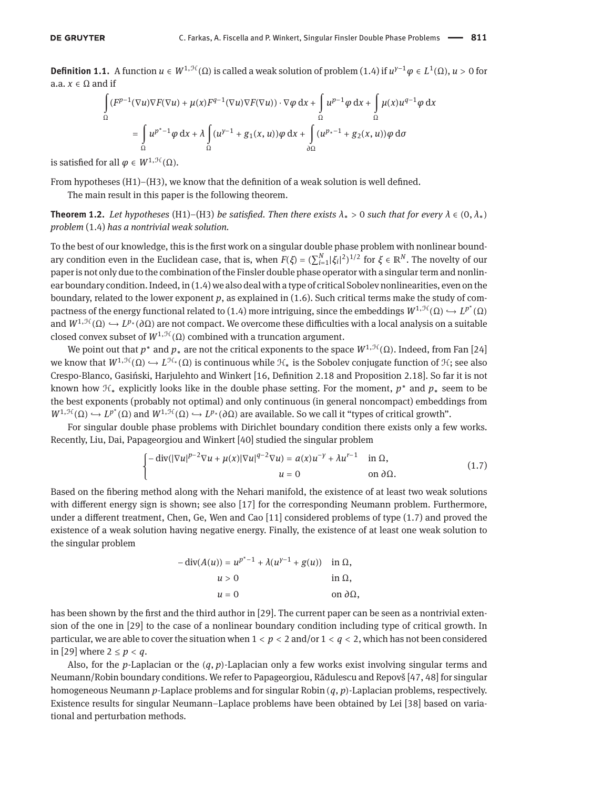<span id="page-2-2"></span>**Definition 1.1.** A function  $u \in W^{1, \mathcal{H}}(\Omega)$  is called a weak solution of problem [\(1.4\)](#page-1-2) if  $u^{\gamma-1}\varphi \in L^1(\Omega)$ ,  $u > 0$  for a.a.  $x \in \Omega$  and if

$$
\int_{\Omega} (F^{p-1}(\nabla u)\nabla F(\nabla u) + \mu(x)F^{q-1}(\nabla u)\nabla F(\nabla u)) \cdot \nabla \varphi \,dx + \int_{\Omega} u^{p-1}\varphi \,dx + \int_{\Omega} \mu(x)u^{q-1}\varphi \,dx
$$

$$
= \int_{\Omega} u^{p^*-1}\varphi \,dx + \lambda \int_{\Omega} (u^{p-1} + g_1(x, u))\varphi \,dx + \int_{\partial\Omega} (u^{p_*-1} + g_2(x, u))\varphi \,d\sigma
$$

is satisfied for all  $\varphi \in W^{1, \mathcal{H}}(\Omega)$ .

From hypotheses (H1)–(H3), we know that the definition of a weak solution is well defined.

The main result in this paper is the following theorem.

<span id="page-2-1"></span>**Theorem 1.2.** *Let hypotheses* (H1)–(H3) *be satisfied. Then there exists*  $\lambda_* > 0$  *such that for every*  $\lambda \in (0, \lambda_*)$ *problem* [\(1.4\)](#page-1-2) *has a nontrivial weak solution.*

To the best of our knowledge, this is the first work on a singular double phase problem with nonlinear boundary condition even in the Euclidean case, that is, when  $F(\xi) = (\sum_{i=1}^N |\xi_i|^2)^{1/2}$  for  $\xi \in \mathbb{R}^N$ . The novelty of our paper is not only due to the combination of the Finsler double phase operator with a singular term and nonlinear boundary condition. Indeed, in [\(1.4\)](#page-1-2) we also deal with a type of critical Sobolev nonlinearities, even on the boundary, related to the lower exponent  $p$ , as explained in  $(1.6)$ . Such critical terms make the study of com-pactness of the energy functional related to [\(1.4\)](#page-1-2) more intriguing, since the embeddings  $W^{1,\mathcal{H}}(\Omega) \hookrightarrow L^{p^*}(\Omega)$ and  $W^{1,\mathcal{H}}(\Omega) \hookrightarrow L^{p_*}(\partial\Omega)$  are not compact. We overcome these difficulties with a local analysis on a suitable closed convex subset of  $W^{1,\mathcal{H}}(\Omega)$  combined with a truncation argument.

We point out that  $p^*$  and  $p_*$  are not the critical exponents to the space  $W^{1,\mathcal{H}}(\Omega)$ . Indeed, from Fan [\[24\]](#page-15-12) we know that  $W^{1,\mathcal{H}}(\Omega) \hookrightarrow L^{\mathcal{H}_*}(\Omega)$  is continuous while  $\mathcal{H}_*$  is the Sobolev conjugate function of  $\mathcal{H}_*$ ; see also Crespo-Blanco, Gasiński, Harjulehto and Winkert [\[16,](#page-14-13) Definition 2.18 and Proposition 2.18]. So far it is not known how H<sup>∗</sup> explicitly looks like in the double phase setting. For the moment, *p* <sup>∗</sup> and *p*<sup>∗</sup> seem to be the best exponents (probably not optimal) and only continuous (in general noncompact) embeddings from  $W^{1,\mathcal{H}}(\Omega) \hookrightarrow L^{p^*}(\Omega)$  and  $W^{1,\mathcal{H}}(\Omega) \hookrightarrow L^{p_*}(\partial \Omega)$  are available. So we call it "types of critical growth".

For singular double phase problems with Dirichlet boundary condition there exists only a few works. Recently, Liu, Dai, Papageorgiou and Winkert [\[40\]](#page-15-13) studied the singular problem

<span id="page-2-0"></span>
$$
\begin{cases}\n-\operatorname{div}(|\nabla u|^{p-2}\nabla u + \mu(x)|\nabla u|^{q-2}\nabla u) = a(x)u^{-\gamma} + \lambda u^{r-1} & \text{in } \Omega, \\
u = 0 & \text{on } \partial \Omega.\n\end{cases}
$$
\n(1.7)

Based on the fibering method along with the Nehari manifold, the existence of at least two weak solutions with different energy sign is shown; see also [\[17\]](#page-14-14) for the corresponding Neumann problem. Furthermore, under a different treatment, Chen, Ge, Wen and Cao [\[11\]](#page-14-15) considered problems of type [\(1.7\)](#page-2-0) and proved the existence of a weak solution having negative energy. Finally, the existence of at least one weak solution to the singular problem

$$
- \operatorname{div}(A(u)) = u^{p^* - 1} + \lambda(u^{y - 1} + g(u)) \quad \text{in } \Omega,
$$
  
 
$$
u > 0 \qquad \text{in } \Omega,
$$
  
 
$$
u = 0 \qquad \text{on } \partial\Omega,
$$

has been shown by the first and the third author in [\[29\]](#page-15-14). The current paper can be seen as a nontrivial extension of the one in [\[29\]](#page-15-14) to the case of a nonlinear boundary condition including type of critical growth. In particular, we are able to cover the situation when 1 < *p* < 2 and/or 1 < *q* < 2, which has not been considered in [\[29\]](#page-15-14) where  $2 \le p < q$ .

Also, for the *p*-Laplacian or the (*q*, *p*)-Laplacian only a few works exist involving singular terms and Neumann/Robin boundary conditions. We refer to Papageorgiou, Rădulescu and Repovš [\[47,](#page-15-15) [48\]](#page-15-16) for singular homogeneous Neumann *p*-Laplace problems and for singular Robin (*q*, *p*)-Laplacian problems, respectively. Existence results for singular Neumann–Laplace problems have been obtained by Lei [\[38\]](#page-15-17) based on variational and perturbation methods.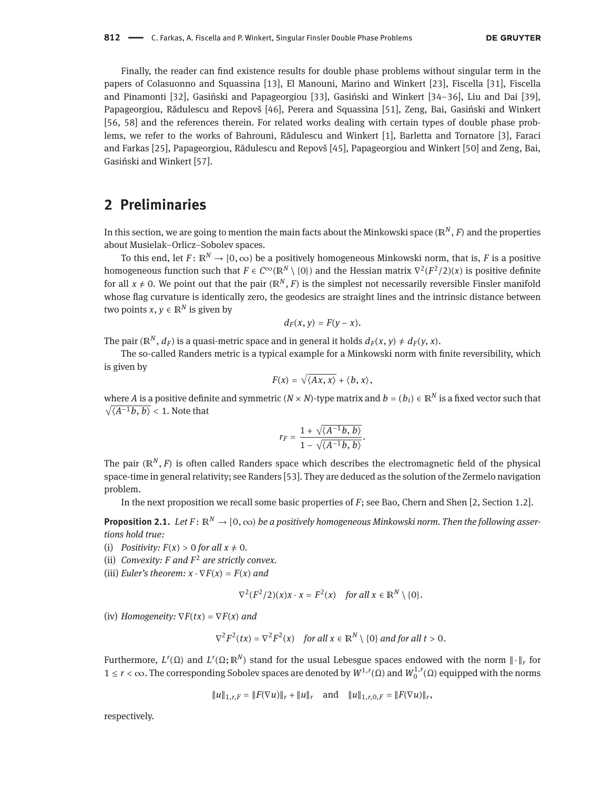Finally, the reader can find existence results for double phase problems without singular term in the papers of Colasuonno and Squassina [\[13\]](#page-14-16), El Manouni, Marino and Winkert [\[23\]](#page-15-18), Fiscella [\[31\]](#page-15-19), Fiscella and Pinamonti [\[32\]](#page-15-20), Gasiński and Papageorgiou [\[33\]](#page-15-21), Gasiński and Winkert [\[34–](#page-15-22)[36\]](#page-15-23), Liu and Dai [\[39\]](#page-15-24), Papageorgiou, Rădulescu and Repovš [\[46\]](#page-15-25), Perera and Squassina [\[51\]](#page-15-26), Zeng, Bai, Gasiński and Winkert [\[56,](#page-16-3) [58\]](#page-16-4) and the references therein. For related works dealing with certain types of double phase problems, we refer to the works of Bahrouni, Rădulescu and Winkert [\[1\]](#page-14-17), Barletta and Tornatore [\[3\]](#page-14-18), Faraci and Farkas [\[25\]](#page-15-27), Papageorgiou, Rădulescu and Repovš [\[45\]](#page-15-28), Papageorgiou and Winkert [\[50\]](#page-15-29) and Zeng, Bai, Gasiński and Winkert [\[57\]](#page-16-5).

### <span id="page-3-0"></span>**2 Preliminaries**

In this section, we are going to mention the main facts about the Minkowski space (ℝ*<sup>N</sup>* , *F*) and the properties about Musielak–Orlicz–Sobolev spaces.

To this end, let  $F: \mathbb{R}^N \to [0, \infty)$  be a positively homogeneous Minkowski norm, that is, *F* is a positive homogeneous function such that  $F \in C^\infty(\mathbb{R}^N \setminus \{0\})$  and the Hessian matrix  $\nabla^2(F^2/2)(x)$  is positive definite for all  $x \neq 0$ . We point out that the pair  $(\mathbb{R}^N, F)$  is the simplest not necessarily reversible Finsler manifold whose flag curvature is identically zero, the geodesics are straight lines and the intrinsic distance between two points  $x, y \in \mathbb{R}^N$  is given by

$$
d_F(x, y) = F(y - x).
$$

The pair ( $\mathbb{R}^N$ ,  $d_F$ ) is a quasi-metric space and in general it holds  $d_F(x, y) \neq d_F(y, x)$ .

The so-called Randers metric is a typical example for a Minkowski norm with finite reversibility, which is given by

$$
F(x)=\sqrt{\langle Ax,x\rangle}+\langle b,x\rangle,
$$

where *A* is a positive definite and symmetric  $(N \times N)$ -type matrix and  $b = (b_i) \in \mathbb{R}^N$  is a fixed vector such that  $\sqrt{\langle A^{-1}b, b \rangle}$  < 1. Note that

$$
r_F=\frac{1+\sqrt{\langle A^{-1}b,\,b\rangle}}{1-\sqrt{\langle A^{-1}b,\,b\rangle}}.
$$

The pair (ℝ*<sup>N</sup>* , *F*) is often called Randers space which describes the electromagnetic field of the physical space-time in general relativity; see Randers [\[53\]](#page-15-30). They are deduced as the solution of the Zermelo navigation problem.

In the next proposition we recall some basic properties of *F*; see Bao, Chern and Shen [\[2,](#page-14-19) Section 1.2].

<span id="page-3-1"></span>**Proposition 2.1.** *Let*  $F: \mathbb{R}^N \to [0, \infty)$  *be a positively homogeneous Minkowski norm. Then the following assertions hold true:*

- (i) *Positivity:*  $F(x) > 0$  *for all*  $x \neq 0$ *.*
- (ii) *Convexity: F and F* <sup>2</sup> *are strictly convex.*
- (iii) *Euler's theorem:*  $x \cdot \nabla F(x) = F(x)$  *and*

$$
\nabla^2(F^2/2)(x)x \cdot x = F^2(x) \quad \text{for all } x \in \mathbb{R}^N \setminus \{0\}.
$$

(iv) *Homogeneity:*  $\nabla F(tx) = \nabla F(x)$  *and* 

$$
\nabla^2 F^2(tx) = \nabla^2 F^2(x) \quad \text{for all } x \in \mathbb{R}^N \setminus \{0\} \text{ and for all } t > 0.
$$

Furthermore,  $L^r(\Omega)$  and  $L^r(\Omega;\mathbb{R}^N)$  stand for the usual Lebesgue spaces endowed with the norm  $\|\cdot\|_r$  for 1 ≤ *r* < ∞. The corresponding Sobolev spaces are denoted by *W*1,*<sup>r</sup>* (Ω) and *W* 1,*r* 0 (Ω) equipped with the norms

$$
||u||_{1,r,F} = ||F(\nabla u)||_r + ||u||_r \text{ and } ||u||_{1,r,0,F} = ||F(\nabla u)||_r,
$$

respectively.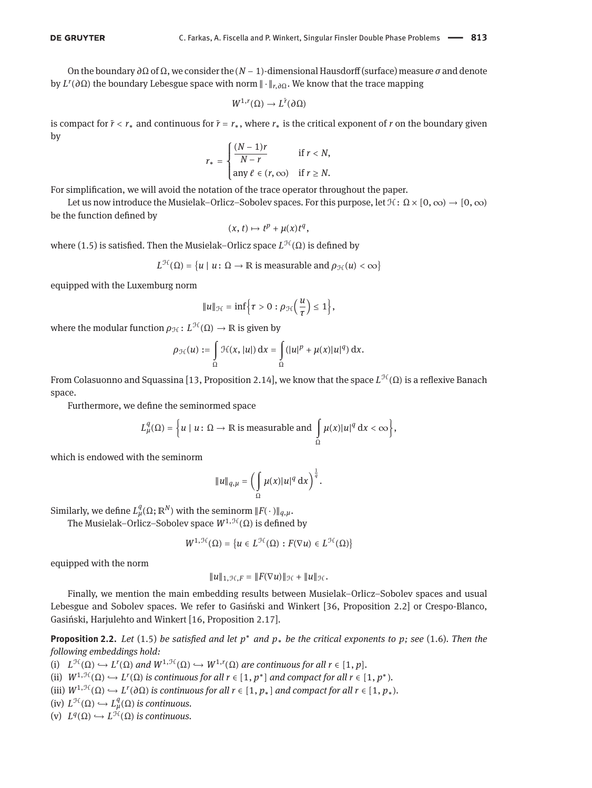On the boundary *∂*Ω of Ω, we consider the (*N* − 1)-dimensional Hausdorff (surface) measure *σ* and denote by *L r* (*∂*Ω) the boundary Lebesgue space with norm ‖ ⋅ ‖*r*,*∂*Ω. We know that the trace mapping

$$
W^{1,r}(\Omega) \to L^{\tilde{r}}(\partial \Omega)
$$

is compact for  $\tilde{r}$  <  $r_*$  and continuous for  $\tilde{r} = r_*$ , where  $r_*$  is the critical exponent of *r* on the boundary given by

$$
r_* = \begin{cases} \frac{(N-1)r}{N-r} & \text{if } r < N, \\ \text{any } \ell \in (r, \infty) & \text{if } r \geq N. \end{cases}
$$

For simplification, we will avoid the notation of the trace operator throughout the paper.

Let us now introduce the Musielak–Orlicz–Sobolev spaces. For this purpose, let  $\mathcal{H}: \Omega \times [0, \infty) \to [0, \infty)$ be the function defined by

$$
(x,t)\mapsto t^p+\mu(x)t^q,
$$

where [\(1.5\)](#page-1-1) is satisfied. Then the Musielak–Orlicz space  $L^{\mathcal{H}}(Ω)$  is defined by

$$
L^{\mathcal{H}}(\Omega) = \{u \mid u \colon \Omega \to \mathbb{R} \text{ is measurable and } \rho_{\mathcal{H}}(u) < \infty\}
$$

equipped with the Luxemburg norm

$$
||u||_{\mathcal{H}} = \inf \Big\{ \tau > 0 : \rho_{\mathcal{H}} \Big( \frac{u}{\tau} \Big) \leq 1 \Big\},\
$$

where the modular function  $\rho_{\mathcal{H}}: L^{\mathcal{H}}(\Omega) \to \mathbb{R}$  is given by

$$
\rho_{\mathcal{H}}(u) := \int\limits_{\Omega} \mathcal{H}(x, |u|) \, \mathrm{d}x = \int\limits_{\Omega} (|u|^p + \mu(x)|u|^q) \, \mathrm{d}x.
$$

From Colasuonno and Squassina [\[13,](#page-14-16) Proposition 2.14], we know that the space *L<sup>H</sup>(*Ω) is a reflexive Banach space.

Furthermore, we define the seminormed space

$$
L^q_\mu(\Omega) = \left\{ u \mid u \colon \Omega \to \mathbb{R} \text{ is measurable and } \int_\Omega \mu(x) |u|^q \, \mathrm{d}x < \infty \right\},
$$

which is endowed with the seminorm

$$
||u||_{q,\mu} = \left(\int\limits_{\Omega} \mu(x)|u|^q \, \mathrm{d}x\right)^{\frac{1}{q}}.
$$

Similarly, we define  $L^q_\mu(\Omega;\mathbb{R}^N)$  with the seminorm  $||F(\cdot)||_{q,\mu}$ .

The Musielak–Orlicz–Sobolev space  $W^{1,\mathcal{H}}(\Omega)$  is defined by

$$
W^{1,\mathcal{H}}(\Omega) = \{u \in L^{\mathcal{H}}(\Omega) : F(\nabla u) \in L^{\mathcal{H}}(\Omega)\}
$$

equipped with the norm

$$
||u||_{1,\mathcal{H},F} = ||F(\nabla u)||_{\mathcal{H}} + ||u||_{\mathcal{H}}.
$$

Finally, we mention the main embedding results between Musielak–Orlicz–Sobolev spaces and usual Lebesgue and Sobolev spaces. We refer to Gasiński and Winkert [\[36,](#page-15-23) Proposition 2.2] or Crespo-Blanco, Gasiński, Harjulehto and Winkert [\[16,](#page-14-13) Proposition 2.17].

<span id="page-4-0"></span>**Proposition 2.2.** *Let* [\(1.5\)](#page-1-1) *be satisfied and let p* <sup>∗</sup> *and p*<sup>∗</sup> *be the critical exponents to p; see* [\(1.6\)](#page-1-3)*. Then the following embeddings hold:*

(i)  $L^{\mathcal{H}}(\Omega) \hookrightarrow L^{r}(\Omega)$  and  $W^{1,\mathcal{H}}(\Omega) \hookrightarrow W^{1,r}(\Omega)$  are continuous for all  $r \in [1, p]$ .

- (ii)  $W^{1,\mathcal{H}}(\Omega) \hookrightarrow L^{r}(\Omega)$  is continuous for all  $r \in [1, p^*]$  and compact for all  $r \in [1, p^*)$ .
- (iii)  $W^{1,\mathcal{H}}(\Omega) \hookrightarrow L^r(\partial \Omega)$  *is continuous for all*  $r \in [1, p_*]$  *and compact for all*  $r \in [1, p_*)$ *.*
- $(iv)$   $L^{\mathcal{H}}(\Omega) \hookrightarrow L^q_\mu(\Omega)$  *is continuous.*
- $\mathcal{L}^q(\Omega) \hookrightarrow L^{\mathcal{H}}(\Omega)$  *is continuous.*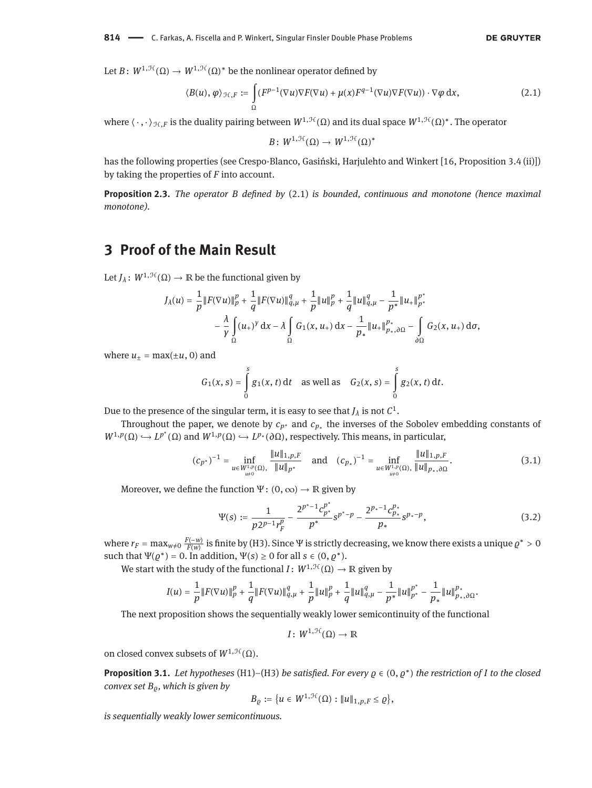Let  $B: W^{1,\mathcal{H}}(\Omega) \to W^{1,\mathcal{H}}(\Omega)^*$  be the nonlinear operator defined by

<span id="page-5-0"></span>
$$
\langle B(u), \varphi \rangle_{\mathcal{H},F} := \int_{\Omega} (F^{p-1}(\nabla u) \nabla F(\nabla u) + \mu(x) F^{q-1}(\nabla u) \nabla F(\nabla u)) \cdot \nabla \varphi \, dx, \tag{2.1}
$$

where  $\langle \cdot, \cdot \rangle_{H,F}$  is the duality pairing between  $W^{1,\mathcal{H}}(\Omega)$  and its dual space  $W^{1,\mathcal{H}}(\Omega)^*$ . The operator

$$
B\colon W^{1,\mathcal{H}}(\Omega)\to W^{1,\mathcal{H}}(\Omega)^*
$$

has the following properties (see Crespo-Blanco, Gasiński, Harjulehto and Winkert [\[16,](#page-14-13) Proposition 3.4 (ii)]) by taking the properties of *F* into account.

**Proposition 2.3.** *The operator B defined by* [\(2.1\)](#page-5-0) *is bounded, continuous and monotone (hence maximal monotone).*

### **3 Proof of the Main Result**

Let  $J_\lambda$ :  $W^{1,\mathcal{H}}(\Omega) \to \mathbb{R}$  be the functional given by

$$
J_{\lambda}(u) = \frac{1}{p} ||F(\nabla u)||_{p}^{p} + \frac{1}{q} ||F(\nabla u)||_{q,\mu}^{q} + \frac{1}{p} ||u||_{p}^{p} + \frac{1}{q} ||u||_{q,\mu}^{q} - \frac{1}{p^{*}} ||u_{+}||_{p^{*}}^{p^{*}} - \frac{\lambda}{\gamma} \int_{\Omega} (u_{+})^{y} dx - \lambda \int_{\Omega} G_{1}(x, u_{+}) dx - \frac{1}{p^{*}} ||u_{+}||_{p^{*},\partial\Omega}^{p^{*}} - \int_{\partial\Omega} G_{2}(x, u_{+}) d\sigma,
$$

where  $u_{\pm} = \max(\pm u, 0)$  and

$$
G_1(x, s) = \int_{0}^{s} g_1(x, t) dt \text{ as well as } G_2(x, s) = \int_{0}^{s} g_2(x, t) dt.
$$

Due to the presence of the singular term, it is easy to see that  $J_\lambda$  is not  $\mathcal{C}^1$ .

Throughout the paper, we denote by  $c_{p^*}$  and  $c_{p_*}$  the inverses of the Sobolev embedding constants of  $W^{1,p}(\Omega) \hookrightarrow L^{p^*}(\Omega)$  and  $W^{1,p}(\Omega) \hookrightarrow L^{p^*}(\partial \Omega)$ , respectively. This means, in particular,

<span id="page-5-1"></span>
$$
(c_{p^*})^{-1} = \inf_{\substack{u \in W^{1,p}(\Omega), \\ u \neq 0}} \frac{\|u\|_{1,p,F}}{\|u\|_{p^*}} \quad \text{and} \quad (c_{p_*})^{-1} = \inf_{\substack{u \in W^{1,p}(\Omega), \\ u \neq 0}} \frac{\|u\|_{1,p,F}}{\|u\|_{p_*,\partial\Omega}}.
$$
 (3.1)

Moreover, we define the function  $\Psi: (0, \infty) \to \mathbb{R}$  given by

<span id="page-5-2"></span>
$$
\Psi(s) := \frac{1}{p2^{p-1}r_F^p} - \frac{2^{p^*-1}c_{p^*}^{p^*}}{p^*} s^{p^*-p} - \frac{2^{p^*-1}c_{p^*}^{p^*}}{p^*} s^{p^*-p},\tag{3.2}
$$

where  $r_F = \max_{w\neq 0} \frac{F(-w)}{F(w)}$  is finite by (H3). Since  $\Psi$  is strictly decreasing, we know there exists a unique  $\varrho^*>0$ such that  $\Psi(\varrho^*) = 0$ . In addition,  $\Psi(s) \ge 0$  for all  $s \in (0, \varrho^*)$ .

We start with the study of the functional *I*:  $W^{1, \mathcal{H}}(\Omega) \to \mathbb{R}$  given by

$$
I(u) = \frac{1}{p} ||F(\nabla u)||_p^p + \frac{1}{q} ||F(\nabla u)||_{q,\mu}^q + \frac{1}{p} ||u||_p^p + \frac{1}{q} ||u||_{q,\mu}^q - \frac{1}{p^*} ||u||_{p^*}^{p^*} - \frac{1}{p_*} ||u||_{p_*,\partial\Omega}^{p_*}.
$$

The next proposition shows the sequentially weakly lower semicontinuity of the functional

*I*:  $W^{1,\mathcal{H}}(\Omega) \to \mathbb{R}$ 

on closed convex subsets of  $W^{1,\mathcal{H}}(\Omega)$ .

<span id="page-5-3"></span>**Proposition 3.1.** *Let hypotheses* (H1)*–*(H3) *be satisfied. For every ϱ* ∈ (0, *ϱ* ∗ ) *the restriction of I to the closed convex set Bϱ, which is given by*

$$
B_{\varrho} := \{ u \in W^{1,\mathcal{H}}(\Omega) : ||u||_{1,p,F} \leq \varrho \},\
$$

*is sequentially weakly lower semicontinuous.*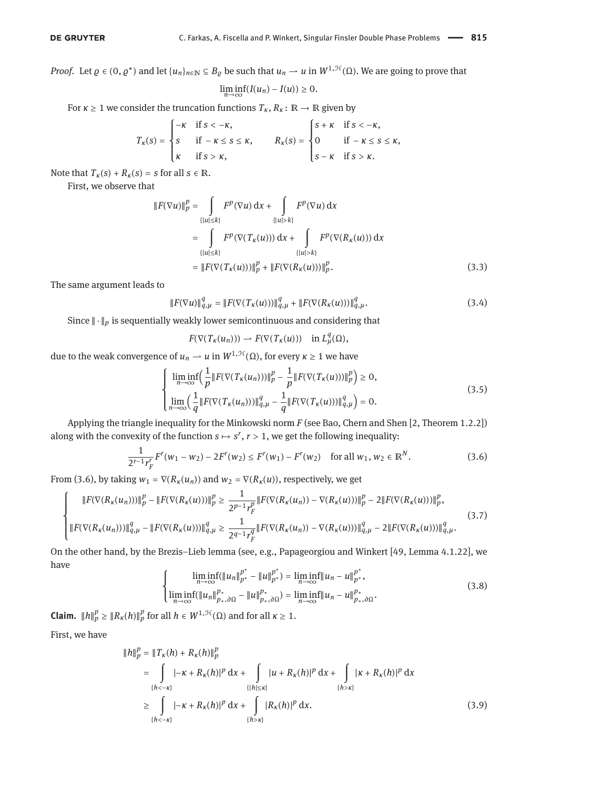*Proof.* Let  $\varrho \in (0, \varrho^*)$  and let  $\{u_n\}_{n \in \mathbb{N}} \subseteq B_\varrho$  be such that  $u_n \to u$  in  $W^{1,\mathcal{H}}(\Omega)$ . We are going to prove that

$$
\liminf_{n\to\infty}(I(u_n)-I(u))\geq 0.
$$

For *κ*  $\geq$  1 we consider the truncation functions  $T_k$ ,  $R_k$ :  $\mathbb{R} \to \mathbb{R}$  given by

$$
T_{\kappa}(s) = \begin{cases} -\kappa & \text{if } s < -\kappa, \\ s & \text{if } -\kappa \le s \le \kappa, \\ \kappa & \text{if } s > \kappa, \end{cases} \qquad R_{\kappa}(s) = \begin{cases} s + \kappa & \text{if } s < -\kappa, \\ 0 & \text{if } -\kappa \le s \le \kappa, \\ s - \kappa & \text{if } s > \kappa. \end{cases}
$$

Note that  $T_k(s) + R_k(s) = s$  for all  $s \in \mathbb{R}$ .

First, we observe that

$$
||F(\nabla u)||_p^p = \int_{\{|u| \le k\}} F^p(\nabla u) \, dx + \int_{\{|u| > k\}} F^p(\nabla u) \, dx
$$
  
\n
$$
= \int_{\{|u| \le k\}} F^p(\nabla (T_\kappa(u))) \, dx + \int_{\{|u| > k\}} F^p(\nabla (R_\kappa(u))) \, dx
$$
  
\n
$$
= ||F(\nabla (T_\kappa(u)))||_p^p + ||F(\nabla (R_\kappa(u)))||_p^p. \tag{3.3}
$$

The same argument leads to

$$
||F(\nabla u)||_{q,\mu}^{q} = ||F(\nabla(T_{\kappa}(u)))||_{q,\mu}^{q} + ||F(\nabla(R_{\kappa}(u)))||_{q,\mu}^{q}.
$$
\n(3.4)

Since  $\|\cdot\|_p$  is sequentially weakly lower semicontinuous and considering that

<span id="page-6-2"></span>
$$
F(\nabla(T_{\kappa}(u_n))) \rightharpoonup F(\nabla(T_{\kappa}(u))) \quad \text{in } L^q_{\mu}(\Omega),
$$

due to the weak convergence of  $u_n \rightharpoonup u$  in  $W^{1,\mathcal{H}}(\Omega)$ , for every  $\kappa \geq 1$  we have

<span id="page-6-3"></span>
$$
\begin{cases}\n\liminf_{n\to\infty} \left( \frac{1}{p} \| F(\nabla (T_{\kappa}(u_n))) \|_{p}^{p} - \frac{1}{p} \| F(\nabla (T_{\kappa}(u))) \|_{p}^{p} \right) \ge 0, \\
\lim_{n\to\infty} \left( \frac{1}{q} \| F(\nabla (T_{\kappa}(u_n))) \|_{q,\mu}^{q} - \frac{1}{q} \| F(\nabla (T_{\kappa}(u))) \|_{q,\mu}^{q} \right) = 0.\n\end{cases}
$$
\n(3.5)

Applying the triangle inequality for the Minkowski norm *F* (see Bao, Chern and Shen [\[2,](#page-14-19) Theorem 1.2.2]) along with the convexity of the function  $s \mapsto s^r$ ,  $r > 1$ , we get the following inequality:

<span id="page-6-0"></span>
$$
\frac{1}{2^{r-1}r_F^r}F^r(w_1 - w_2) - 2F^r(w_2) \le F^r(w_1) - F^r(w_2) \quad \text{for all } w_1, w_2 \in \mathbb{R}^N. \tag{3.6}
$$

From [\(3.6\)](#page-6-0), by taking  $w_1 = \nabla(R_\kappa(u_n))$  and  $w_2 = \nabla(R_\kappa(u))$ , respectively, we get

<span id="page-6-4"></span>
$$
\begin{cases}\|F(\nabla(R_{\kappa}(u_n)))\|_p^p - \|F(\nabla(R_{\kappa}(u)))\|_p^p \ge \frac{1}{2^{p-1}r_F^p} \|F(\nabla(R_{\kappa}(u_n)) - \nabla(R_{\kappa}(u)))\|_p^p - 2\|F(\nabla(R_{\kappa}(u)))\|_p^p, \\
\|F(\nabla(R_{\kappa}(u_n)))\|_{q,\mu}^q - \|F(\nabla(R_{\kappa}(u)))\|_{q,\mu}^q \ge \frac{1}{2^{q-1}r_F^q} \|F(\nabla(R_{\kappa}(u_n)) - \nabla(R_{\kappa}(u)))\|_{q,\mu}^q - 2\|F(\nabla(R_{\kappa}(u)))\|_{q,\mu}^q.\n\end{cases} (3.7)
$$

On the other hand, by the Brezis–Lieb lemma (see, e.g., Papageorgiou and Winkert [\[49,](#page-15-31) Lemma 4.1.22], we have ∗

<span id="page-6-5"></span><span id="page-6-1"></span>
$$
\begin{cases}\n\liminf_{n\to\infty} (\|u_n\|_{p^*}^{p^*} - \|u\|_{p^*}^{p^*}) = \liminf_{n\to\infty} \|u_n - u\|_{p^*}^{p^*}, \\
\liminf_{n\to\infty} (\|u_n\|_{p_*,\partial\Omega}^{p_*} - \|u\|_{p_*,\partial\Omega}^{p_*}) = \liminf_{n\to\infty} \|u_n - u\|_{p_*,\partial\Omega}^{p_*}.\n\end{cases}
$$
\n(3.8)

**Claim.**  $||h||_p^p \ge ||R_K(h)||_p^p$  for all  $h \in W^{1, \mathcal{H}}(\Omega)$  and for all  $\kappa \ge 1$ .

First, we have

$$
||h||_{p}^{p} = ||T_{K}(h) + R_{K}(h)||_{p}^{p}
$$
  
\n
$$
= \int_{\{h < -\kappa\}} |-K + R_{K}(h)|^{p} dx + \int_{\{|h| \leq \kappa\}} |u + R_{K}(h)|^{p} dx + \int_{\{h > \kappa\}} |K + R_{K}(h)|^{p} dx
$$
  
\n
$$
\geq \int_{\{h < -\kappa\}} |-K + R_{K}(h)|^{p} dx + \int_{\{h > \kappa\}} |R_{K}(h)|^{p} dx.
$$
\n(3.9)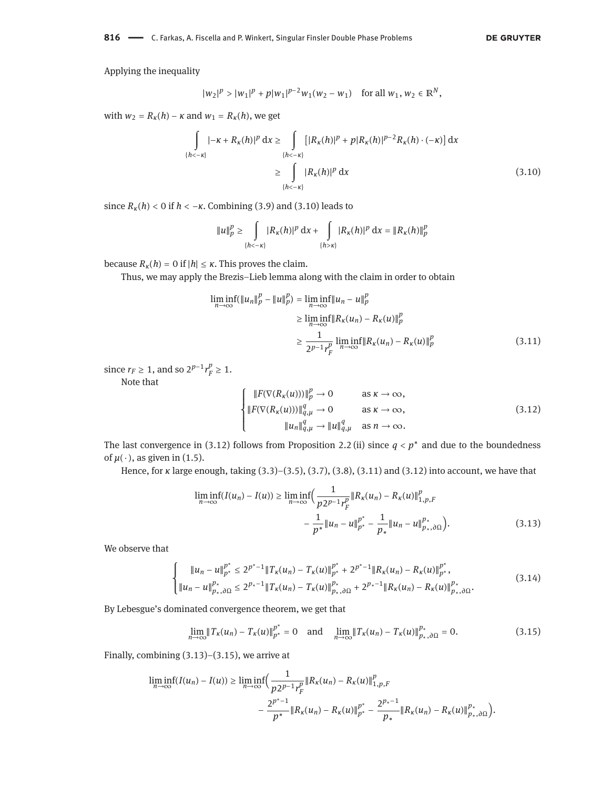<span id="page-7-0"></span>**DE GRUYTER** 

Applying the inequality

$$
|w_2|^p > |w_1|^p + p|w_1|^{p-2}w_1(w_2 - w_1)
$$
 for all  $w_1, w_2 \in \mathbb{R}^N$ ,

with  $w_2 = R_k(h) - \kappa$  and  $w_1 = R_k(h)$ , we get

$$
\int_{\{h<- \kappa\}} |- \kappa + R_{\kappa}(h)|^p \, dx \ge \int_{\{h<- \kappa\}} [|R_{\kappa}(h)|^p + p|R_{\kappa}(h)|^{p-2} R_{\kappa}(h) \cdot (-\kappa)] \, dx
$$
\n
$$
\ge \int_{\{h<- \kappa\}} |R_{\kappa}(h)|^p \, dx \tag{3.10}
$$

since  $R_k(h) < 0$  if  $h < -\kappa$ . Combining [\(3.9\)](#page-6-1) and [\(3.10\)](#page-7-0) leads to

$$
||u||_p^p \ge \int_{\{h < -\kappa\}} |R_{\kappa}(h)|^p \, \mathrm{d}x + \int_{\{h > \kappa\}} |R_{\kappa}(h)|^p \, \mathrm{d}x = ||R_{\kappa}(h)||_p^p
$$

because  $R_k(h) = 0$  if  $|h| \leq \kappa$ . This proves the claim.

Thus, we may apply the Brezis–Lieb lemma along with the claim in order to obtain

$$
\liminf_{n \to \infty} (\|u_n\|_p^p - \|u\|_p^p) = \liminf_{n \to \infty} \|u_n - u\|_p^p
$$
  
\n
$$
\geq \liminf_{n \to \infty} \|R_{\kappa}(u_n) - R_{\kappa}(u)\|_p^p
$$
  
\n
$$
\geq \frac{1}{2^{p-1}r_F^p} \liminf_{n \to \infty} \|R_{\kappa}(u_n) - R_{\kappa}(u)\|_p^p
$$
\n(3.11)

since  $r_F \geq 1$ , and so  $2^{p-1} r_F^p$  $_{F}^{\nu} \geq 1.$ 

Note that

<span id="page-7-3"></span><span id="page-7-2"></span><span id="page-7-1"></span>
$$
\begin{cases}\n||F(\nabla(R_K(u)))\|_p^p \to 0 & \text{as } \kappa \to \infty, \\
||F(\nabla(R_K(u)))\|_{q,\mu}^q \to 0 & \text{as } \kappa \to \infty, \\
||u_n\|_{q,\mu}^q \to ||u||_{q,\mu}^q & \text{as } n \to \infty.\n\end{cases}
$$
\n(3.12)

The last convergence in [\(3.12\)](#page-7-1) follows from Proposition [2.2](#page-4-0) (ii) since *q* < *p* <sup>∗</sup> and due to the boundedness of  $\mu(\cdot)$ , as given in [\(1.5\)](#page-1-1).

Hence, for *κ* large enough, taking [\(3.3\)](#page-6-2)–[\(3.5\)](#page-6-3), [\(3.7\)](#page-6-4), [\(3.8\)](#page-6-5), [\(3.11\)](#page-7-2) and [\(3.12\)](#page-7-1) into account, we have that

$$
\liminf_{n \to \infty} (I(u_n) - I(u)) \ge \liminf_{n \to \infty} \left( \frac{1}{p 2^{p-1} r_F^p} \| R_{\kappa}(u_n) - R_{\kappa}(u) \|_{1, p, F}^p - \frac{1}{p^*} \| u_n - u \|_{p^*}^{p^*} - \frac{1}{p_*} \| u_n - u \|_{p^*, \partial \Omega}^{p_*} \right). \tag{3.13}
$$

We observe that

$$
\begin{cases} \|u_n - u\|_{p^*}^{p^*} \le 2^{p^*-1} \|T_{\kappa}(u_n) - T_{\kappa}(u)\|_{p^*}^{p^*} + 2^{p^*-1} \|R_{\kappa}(u_n) - R_{\kappa}(u)\|_{p^*}^{p^*},\\ \|u_n - u\|_{p_*,\partial\Omega}^{p_*} \le 2^{p_*-1} \|T_{\kappa}(u_n) - T_{\kappa}(u)\|_{p_*,\partial\Omega}^{p_*} + 2^{p_*-1} \|R_{\kappa}(u_n) - R_{\kappa}(u)\|_{p_*,\partial\Omega}^{p_*}.\end{cases} \tag{3.14}
$$

By Lebesgue's dominated convergence theorem, we get that

<span id="page-7-4"></span>
$$
\lim_{n \to \infty} \|T_{\kappa}(u_n) - T_{\kappa}(u)\|_{p^*}^{p^*} = 0 \quad \text{and} \quad \lim_{n \to \infty} \|T_{\kappa}(u_n) - T_{\kappa}(u)\|_{p_*,\partial\Omega}^{p_*} = 0. \tag{3.15}
$$

Finally, combining [\(3.13\)](#page-7-3)–[\(3.15\)](#page-7-4), we arrive at

$$
\begin{split} \liminf_{n \to \infty} (I(u_n) - I(u)) &\geq \liminf_{n \to \infty} \Bigl( \frac{1}{p 2^{p-1} r_F^p} \| R_{\kappa}(u_n) - R_{\kappa}(u) \|_{1, p, F}^p \\ &- \frac{2^{p^*-1}}{p^*} \| R_{\kappa}(u_n) - R_{\kappa}(u) \|_{p^*}^{p^*} - \frac{2^{p_*-1}}{p_*} \| R_{\kappa}(u_n) - R_{\kappa}(u) \|_{p_*, \partial \Omega}^{p_*} \Bigr). \end{split}
$$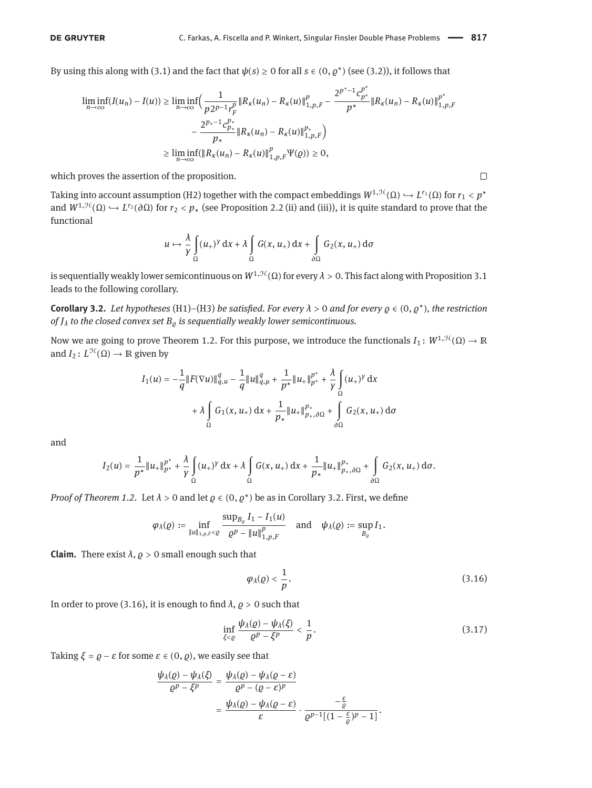By using this along with [\(3.1\)](#page-5-1) and the fact that  $\psi(s) \ge 0$  for all  $s \in (0, \varrho^*)$  (see [\(3.2\)](#page-5-2)), it follows that

$$
\begin{split} \liminf_{n\to\infty} (I(u_n)-I(u)) &\geq \liminf_{n\to\infty} \Bigl( \frac{1}{p2^{p-1}r_F^p}\|R_\kappa(u_n)-R_\kappa(u)\|_{1,p,F}^p - \frac{2^{p^*-1}c_{p^*}^{p^*}}{p^*}\|R_\kappa(u_n)-R_\kappa(u)\|_{1,p,F}^{p^*}\\ &\quad - \frac{2^{p_*-1}c_{p_*}^{p_*}}{p_*}\|R_\kappa(u_n)-R_\kappa(u)\|_{1,p,F}^{p_*}\Bigr) \\ &\geq \liminf_{n\to\infty} (\|R_\kappa(u_n)-R_\kappa(u)\|_{1,p,F}^p\Psi(\varrho)) \geq 0, \end{split}
$$

which proves the assertion of the proposition.

Taking into account assumption (H2) together with the compact embeddings  $W^{1,\mathcal{H}}(\Omega) \hookrightarrow L^{r_1}(\Omega)$  for  $r_1 < p^*$ and  $W^{1,\mathcal{H}}(\Omega) \hookrightarrow L^{r_2}(\partial \Omega)$  for  $r_2 < p_*$  (see Proposition [2.2](#page-4-0) (ii) and (iii)), it is quite standard to prove that the functional

$$
u \mapsto \frac{\lambda}{\gamma} \int_{\Omega} (u_+)^{\gamma} dx + \lambda \int_{\Omega} G(x, u_+) dx + \int_{\partial \Omega} G_2(x, u_+) d\sigma
$$

is sequentially weakly lower semicontinuous on  $W^{1, \mathcal{H}}(\Omega)$  for every  $\lambda > 0$ . This fact along with Proposition [3.1](#page-5-3) leads to the following corollary.

<span id="page-8-0"></span>**Corollary 3.2.** *Let hypotheses* (H1)*–*(H3) *be satisfied. For every λ* > 0 *and for every ϱ* ∈ (0, *ϱ* ∗ )*, the restriction of*  $J_{\lambda}$  *to the closed convex set*  $B_{\rho}$  *is sequentially weakly lower semicontinuous.* 

Now we are going to prove Theorem [1.2.](#page-2-1) For this purpose, we introduce the functionals  $I_1: W^{1,\mathcal{H}}(\Omega) \to \mathbb{R}$ and  $I_2: L^{\mathcal{H}}(\Omega) \to \mathbb{R}$  given by

$$
I_1(u) = -\frac{1}{q} ||F(\nabla u)||_{q,u}^q - \frac{1}{q} ||u||_{q,\mu}^q + \frac{1}{p^*} ||u_+||_{p^*}^{p^*} + \frac{\lambda}{\gamma} \int_{\Omega} (u_+)^{\gamma} dx
$$
  
+  $\lambda \int_{\Omega} G_1(x, u_+) dx + \frac{1}{p^*} ||u_+||_{p^*,\partial\Omega}^{p^*} + \int_{\partial\Omega} G_2(x, u_+) d\sigma$ 

and

$$
I_2(u)=\frac{1}{p^*}\|u_+\|_{p^*}^{p^*}+\frac{\lambda}{\gamma}\int\limits_{\Omega}(u_+)^{\gamma}\, \mathrm{d} x+\lambda\int\limits_{\Omega}G(x,u_+)\, \mathrm{d} x+\frac{1}{p_*}\|u_+\|_{p_*,\partial\Omega}^{p_*}+\int\limits_{\partial\Omega}G_2(x,u_+)\, \mathrm{d}\sigma.
$$

*Proof of Theorem [1.2.](#page-2-1)* Let  $\lambda > 0$  and let  $\varrho \in (0, \varrho^*)$  be as in Corollary [3.2.](#page-8-0) First, we define

$$
\varphi_\lambda(\varrho):=\inf_{\|u\|_{1,p,F}<\varrho}\frac{\sup_{B_\varrho}I_1-I_1(u)}{\varrho^p-\|u\|_{1,p,F}^p}\quad\text{and}\quad\psi_\lambda(\varrho):=\sup_{B_\varrho}I_1.
$$

**Claim.** There exist  $\lambda$ ,  $\rho > 0$  small enough such that

<span id="page-8-1"></span>
$$
\varphi_{\lambda}(\varrho) < \frac{1}{p}.\tag{3.16}
$$

In order to prove [\(3.16\)](#page-8-1), it is enough to find  $\lambda$ ,  $\rho > 0$  such that

<span id="page-8-2"></span>
$$
\inf_{\xi < \varrho} \frac{\psi_{\lambda}(\varrho) - \psi_{\lambda}(\xi)}{\varrho^p - \xi^p} < \frac{1}{p}.\tag{3.17}
$$

Taking  $\xi = \varrho - \varepsilon$  for some  $\varepsilon \in (0, \varrho)$ , we easily see that

$$
\frac{\psi_{\lambda}(\varrho) - \psi_{\lambda}(\xi)}{\varrho^{p} - \xi^{p}} = \frac{\psi_{\lambda}(\varrho) - \psi_{\lambda}(\varrho - \varepsilon)}{\varrho^{p} - (\varrho - \varepsilon)^{p}} = \frac{\psi_{\lambda}(\varrho) - \psi_{\lambda}(\varrho - \varepsilon)}{\varepsilon} \cdot \frac{-\frac{\varepsilon}{\varrho}}{\varrho^{p-1}[(1 - \frac{\varepsilon}{\varrho})^{p} - 1]}.
$$

$$
\Box
$$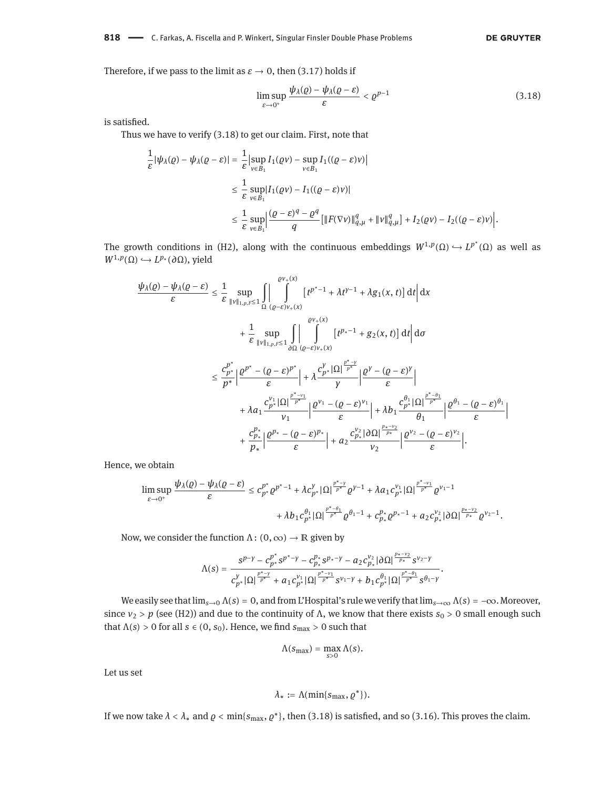#### 818 - C. Farkas, A. Fiscella and P. Winkert, Singular Finsler Double Phase Problems

#### **DE GRUYTER**

Therefore, if we pass to the limit as  $\varepsilon \to 0$ , then [\(3.17\)](#page-8-2) holds if

<span id="page-9-0"></span>
$$
\limsup_{\varepsilon \to 0^+} \frac{\psi_\lambda(\varrho) - \psi_\lambda(\varrho - \varepsilon)}{\varepsilon} < \varrho^{p-1} \tag{3.18}
$$

is satisfied.

Thus we have to verify [\(3.18\)](#page-9-0) to get our claim. First, note that

$$
\frac{1}{\varepsilon} |\psi_{\lambda}(\varrho) - \psi_{\lambda}(\varrho - \varepsilon)| = \frac{1}{\varepsilon} \left| \sup_{v \in B_1} I_1(\varrho v) - \sup_{v \in B_1} I_1((\varrho - \varepsilon)v) \right|
$$
  
\n
$$
\leq \frac{1}{\varepsilon} \sup_{v \in B_1} |I_1(\varrho v) - I_1((\varrho - \varepsilon)v)|
$$
  
\n
$$
\leq \frac{1}{\varepsilon} \sup_{v \in B_1} \left| \frac{(\varrho - \varepsilon)^q - \varrho^q}{q} \left[ \| F(\nabla v) \|_{q,\mu}^q + \| v \|_{q,\mu}^q \right] + I_2(\varrho v) - I_2((\varrho - \varepsilon)v) \right|.
$$

The growth conditions in (H2), along with the continuous embeddings  $W^{1,p}(\Omega) \hookrightarrow L^{p^*}(\Omega)$  as well as  $W^{1,p}(\Omega) \hookrightarrow L^{p}*(\partial\Omega)$ , yield

$$
\frac{\psi_{\lambda}(\varrho)-\psi_{\lambda}(\varrho-\varepsilon)}{\varepsilon} \leq \frac{1}{\varepsilon} \sup_{\|v\|_{1,p,F}\leq 1} \iint_{\Omega} \left| \int_{(\varrho-\varepsilon)v_{+}(x)}^{\varrho v_{+}(x)} \left[ t^{p^{*}-1} + \lambda t^{y-1} + \lambda g_{1}(x,t) \right] dt \right| dx
$$
\n
$$
+ \frac{1}{\varepsilon} \sup_{\|v\|_{1,p,F}\leq 1} \iint_{\partial\Omega} \left| \int_{(\varrho-\varepsilon)v_{+}(x)}^{\varrho v_{+}(x)} \left[ t^{p^{*}-1} + g_{2}(x,t) \right] dt \right| d\sigma
$$
\n
$$
\leq \frac{c_{p^{*}}^{p^{*}}}{p^{*}} \left| \frac{\varrho^{p^{*}} - (\varrho-\varepsilon)^{p^{*}}}{\varepsilon} \right| + \lambda \frac{c_{p^{*}}^{y} |\Omega|^{\frac{p^{*}-y}{p^{*}}}}{\gamma} \left| \frac{\varrho^{y} - (\varrho-\varepsilon)^{y}}{\varepsilon} \right|
$$
\n
$$
+ \lambda a_{1} \frac{c_{p^{*}}^{v_{1}} |\Omega|^{\frac{p^{*}-v_{1}}{p^{*}}} }{\nu_{1}} \right| \frac{\varrho^{v_{1}} - (\varrho-\varepsilon)^{v_{1}}}{\varepsilon} + \lambda b_{1} \frac{c_{p^{*}}^{\theta_{1}} |\Omega|^{\frac{p^{*}-\theta_{1}}{p^{*}}}}{\theta_{1}} \left| \frac{\varrho^{\theta_{1}} - (\varrho-\varepsilon)^{\theta_{1}}}{\varepsilon} \right|
$$
\n
$$
+ \frac{c_{p^{*}}^{p^{*}}}{p^{*}} \left| \frac{\varrho^{p_{*}} - (\varrho-\varepsilon)^{p_{*}}}{\varepsilon} \right| + a_{2} \frac{c_{p^{*}}^{v_{2}} |\partial\Omega|^{\frac{p_{*}-v_{2}}{p^{*}}}{\nu_{2}}}{\nu_{2}} \left| \frac{\varrho^{v_{2}} - (\varrho-\varepsilon)^{v_{2}}}{\varepsilon} \right|.
$$

Hence, we obtain

$$
\limsup_{\varepsilon \to 0^+} \frac{\psi_{\lambda}(\varrho) - \psi_{\lambda}(\varrho - \varepsilon)}{\varepsilon} \leq c_{p^*}^{p^*} \varrho^{p^*-1} + \lambda c_{p^*}^{\gamma} |\Omega|^{\frac{p^*-y}{p^*}} \varrho^{\gamma-1} + \lambda a_1 c_{p^*}^{\gamma_1} |\Omega|^{\frac{p^*-y_1}{p^*}} \varrho^{\gamma_1-1} + \lambda b_1 c_{p^*}^{\theta_1} |\Omega|^{\frac{p^*-q_1}{p^*}} \varrho^{\theta_1-1} + c_{p^*}^{p^*} \varrho^{p_*-1} + a_2 c_{p^*}^{\gamma_2} |\partial \Omega|^{\frac{p_*-y_2}{p^*}} \varrho^{\gamma_2-1}.
$$

Now, we consider the function  $\Lambda: (0, \infty) \to \mathbb{R}$  given by

$$
\Lambda(s)=\frac{s^{p-\gamma}-c_{p^*}^{p^*} s^{p^*-\gamma}-c_{p_*}^{p_*} s^{p_*-\gamma}-a_2 c_{p_*}^{\gamma_2} |\partial \Omega|^{\frac{p_*-\gamma_2}{p_*}} s^{\gamma_2-\gamma}}{c_{p^*}^{\gamma} |\Omega|^{\frac{p^*-\gamma}{p^*}}+a_1 c_{p^*}^{\gamma_1} |\Omega|^{\frac{p^*-\gamma_1}{p^*}} s^{\gamma_1-\gamma}+b_1 c_{p^*}^{\theta_1} |\Omega|^{\frac{p^*-\theta_1}{p^*}} s^{\theta_1-\gamma}}.
$$

We easily see that  $\lim_{s\to 0} \Lambda(s) = 0$ , and from L'Hospital's rule we verify that  $\lim_{s\to\infty} \Lambda(s) = -\infty$ . Moreover, since  $v_2 > p$  (see (H2)) and due to the continuity of  $\Lambda$ , we know that there exists  $s_0 > 0$  small enough such that  $\Lambda(s) > 0$  for all  $s \in (0, s_0)$ . Hence, we find  $s_{\text{max}} > 0$  such that

$$
\Lambda(s_{\max}) = \max_{s>0} \Lambda(s).
$$

Let us set

$$
\lambda_*:=\Lambda(\min\{s_{\max},\varrho^*\}).
$$

If we now take  $\lambda < \lambda_*$  and  $\varrho < \min\{s_{\max}, \varrho^*\}$ , then [\(3.18\)](#page-9-0) is satisfied, and so [\(3.16\)](#page-8-1). This proves the claim.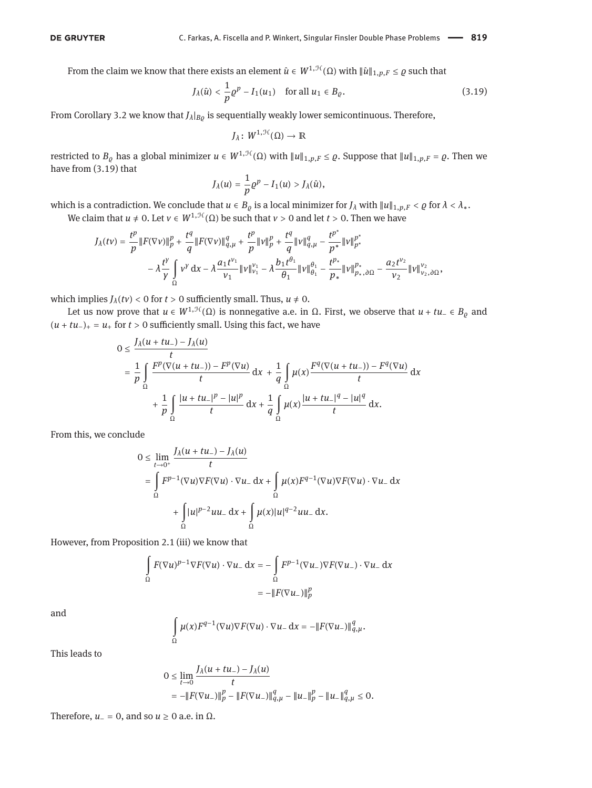From the claim we know that there exists an element  $\hat{u} \in W^{1,\mathcal{H}}(\Omega)$  with  $\|\hat{u}\|_{1,p,F} \leq \varrho$  such that

<span id="page-10-0"></span>
$$
J_{\lambda}(\hat{u}) < \frac{1}{p} \varrho^{p} - I_{1}(u_{1}) \quad \text{for all } u_{1} \in B_{\varrho}.\tag{3.19}
$$

From Corollary [3.2](#page-8-0) we know that *Jλ*|*Bϱ* is sequentially weakly lower semicontinuous. Therefore,

$$
J_\lambda\colon W^{1,\mathcal{H}}(\Omega)\to\mathbb{R}
$$

restricted to  $B_{\varrho}$  has a global minimizer  $u \in W^{1,\mathcal{H}}(\Omega)$  with  $||u||_{1,p,F} \leq \varrho$ . Suppose that  $||u||_{1,p,F} = \varrho$ . Then we have from [\(3.19\)](#page-10-0) that

$$
J_{\lambda}(u)=\frac{1}{p}\varrho^{p}-I_{1}(u)>J_{\lambda}(\hat{u}),
$$

which is a contradiction. We conclude that  $u \in B_\varrho$  is a local minimizer for  $J_\lambda$  with  $||u||_{1,p,F} < \varrho$  for  $\lambda < \lambda_*$ .

We claim that *u*  $\neq$  0. Let *v*  $\in$  *W*<sup>1,H</sup>( $\Omega$ ) be such that *v* > 0 and let *t* > 0. Then we have

$$
J_{\lambda}(tv) = \frac{t^p}{p} \|F(\nabla v)\|_p^p + \frac{t^q}{q} \|F(\nabla v)\|_{q,\mu}^q + \frac{t^p}{p} \|v\|_p^p + \frac{t^q}{q} \|v\|_{q,\mu}^q - \frac{t^{p^*}}{p^*} \|v\|_{p^*}^{p^*} - \lambda \frac{t^{\gamma}}{\gamma} \int_{\Omega} v^{\gamma} dx - \lambda \frac{a_1 t^{\nu_1}}{\nu_1} \|v\|_{\nu_1}^{\nu_1} - \lambda \frac{b_1 t^{\theta_1}}{\theta_1} \|v\|_{\theta_1}^{\theta_1} - \frac{t^{p_*}}{p_*} \|v\|_{p_*,\partial\Omega}^{\rho_*} - \frac{a_2 t^{\nu_2}}{\nu_2} \|v\|_{\nu_2,\partial\Omega}^{\nu_2},
$$

which implies  $J_\lambda(tv) < 0$  for  $t > 0$  sufficiently small. Thus,  $u \neq 0$ .

Let us now prove that  $u \in W^{1, \mathcal{H}}(\Omega)$  is nonnegative a.e. in  $\Omega$ . First, we observe that  $u + tu \in B_{\varrho}$  and  $(u + tu_{-})_{+} = u_{+}$  for *t* > 0 sufficiently small. Using this fact, we have

$$
0 \leq \frac{J_{\lambda}(u + tu_{-}) - J_{\lambda}(u)}{t}
$$
  
=  $\frac{1}{p} \int_{\Omega} \frac{F^{p}(\nabla(u + tu_{-})) - F^{p}(\nabla u)}{t} dx + \frac{1}{q} \int_{\Omega} \mu(x) \frac{F^{q}(\nabla(u + tu_{-})) - F^{q}(\nabla u)}{t} dx$   
+  $\frac{1}{p} \int_{\Omega} \frac{|u + tu_{-}|^{p} - |u|^{p}}{t} dx + \frac{1}{q} \int_{\Omega} \mu(x) \frac{|u + tu_{-}|^{q} - |u|^{q}}{t} dx.$ 

From this, we conclude

$$
0 \le \lim_{t \to 0^+} \frac{J_\lambda(u + tu_-) - J_\lambda(u)}{t}
$$
  
= 
$$
\int_{\Omega} F^{p-1}(\nabla u) \nabla F(\nabla u) \cdot \nabla u_- \, dx + \int_{\Omega} \mu(x) F^{q-1}(\nabla u) \nabla F(\nabla u) \cdot \nabla u_- \, dx
$$
  
+ 
$$
\int_{\Omega} |u|^{p-2} u u_- \, dx + \int_{\Omega} \mu(x) |u|^{q-2} u u_- \, dx.
$$

However, from Proposition [2.1](#page-3-1) (iii) we know that

$$
\int_{\Omega} F(\nabla u)^{p-1} \nabla F(\nabla u) \cdot \nabla u_{-} \, \mathrm{d}x = -\int_{\Omega} F^{p-1}(\nabla u_{-}) \nabla F(\nabla u_{-}) \cdot \nabla u_{-} \, \mathrm{d}x
$$
\n
$$
= -\|F(\nabla u_{-})\|_{p}^{p}
$$

and

$$
\int_{\Omega} \mu(x) F^{q-1}(\nabla u) \nabla F(\nabla u) \cdot \nabla u_{-} \, \mathrm{d}x = -\|F(\nabla u_{-})\|_{q,\mu}^q.
$$

This leads to

$$
0 \le \lim_{t \to 0} \frac{J_{\lambda}(u + tu_{-}) - J_{\lambda}(u)}{t}
$$
  
=  $-\|F(\nabla u_{-})\|_{p}^{p} - \|F(\nabla u_{-})\|_{q,\mu}^{q} - \|u_{-}\|_{p}^{p} - \|u_{-}\|_{q,\mu}^{q} \le 0.$ 

Therefore,  $u_-=0$ , and so  $u \ge 0$  a.e. in  $\Omega$ .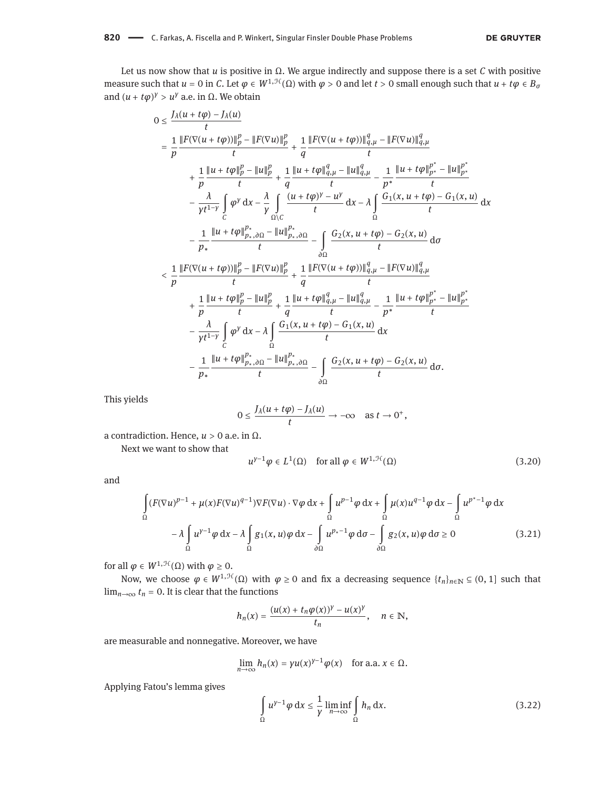Let us now show that *u* is positive in Ω. We argue indirectly and suppose there is a set *C* with positive measure such that  $u = 0$  in *C*. Let  $\varphi \in W^{1, \mathcal{H}}(\Omega)$  with  $\varphi > 0$  and let  $t > 0$  small enough such that  $u + t\varphi \in B_{\sigma}$ and  $(u + t\varphi)^{\gamma} > u^{\gamma}$  a.e. in  $\Omega$ . We obtain

$$
0 \leq \frac{J_{\lambda}(u + t\varphi) - J_{\lambda}(u)}{t}
$$
\n
$$
= \frac{1}{p} \frac{\|F(\nabla(u + t\varphi))\|_{p}^{p} - \|F(\nabla u)\|_{p}^{p}}{t} + \frac{1}{q} \frac{\|F(\nabla(u + t\varphi))\|_{q,\mu}^{q} - \|F(\nabla u)\|_{q,\mu}^{q}}{t}
$$
\n
$$
+ \frac{1}{p} \frac{\|u + t\varphi\|_{p}^{p} - \|u\|_{p}^{p}}{t} + \frac{1}{q} \frac{\|u + t\varphi\|_{q,\mu}^{q} - \|u\|_{q,\mu}^{q}}{t} - \frac{1}{p^{*}} \frac{\|u + t\varphi\|_{p^{*}}^{p^{*}} - \|u\|_{p^{*}}^{p}}{t}
$$
\n
$$
- \frac{\lambda}{\gamma t^{1-\gamma}} \int_{C} \varphi^{y} dx - \frac{\lambda}{\gamma} \int_{\Omega \setminus C} \frac{(u + t\varphi)^{\gamma} - u^{\gamma}}{t} dx - \lambda \int_{\Omega} \frac{G_{1}(x, u + t\varphi) - G_{1}(x, u)}{t} dx
$$
\n
$$
- \frac{1}{p_{*}} \frac{\|u + t\varphi\|_{p_{*},\partial\Omega}^{p^{*}} - \|u\|_{p_{*},\partial\Omega}^{p^{*}}}{t} - \int_{\partial\Omega} \frac{G_{2}(x, u + t\varphi) - G_{2}(x, u)}{t} d\sigma
$$
\n
$$
< \frac{1}{p} \frac{\|F(\nabla(u + t\varphi))\|_{p}^{p} - \|F(\nabla u)\|_{p}^{p}}{t} + \frac{1}{q} \frac{\|F(\nabla(u + t\varphi))\|_{q,\mu}^{q} - \|F(\nabla u)\|_{q,\mu}^{q}}{t}
$$
\n
$$
+ \frac{1}{p} \frac{\|u + t\varphi\|_{p}^{p} - \|u\|_{p}^{p}}{t} + \frac{1}{q} \frac{\|u + t\varphi\|_{q,\mu}^{q} - \|u\|_{q,\mu}^{q}}{t} - \frac{1}{p^{*}} \frac{\|u + t\varphi\|_{p^{*}}^{p^{*}} - \|u\|_{p^{
$$

This yields

$$
0 \leq \frac{J_{\lambda}(u+t\varphi) - J_{\lambda}(u)}{t} \to -\infty \quad \text{as } t \to 0^+,
$$

a contradiction. Hence, *u* > 0 a.e. in Ω.

Next we want to show that

<span id="page-11-2"></span><span id="page-11-1"></span>
$$
u^{\gamma-1}\varphi \in L^1(\Omega) \quad \text{for all } \varphi \in W^{1,\mathcal{H}}(\Omega) \tag{3.20}
$$

and

$$
\int_{\Omega} (F(\nabla u)^{p-1} + \mu(x) F(\nabla u)^{q-1}) \nabla F(\nabla u) \cdot \nabla \varphi \, dx + \int_{\Omega} u^{p-1} \varphi \, dx + \int_{\Omega} \mu(x) u^{q-1} \varphi \, dx - \int_{\Omega} u^{p^* - 1} \varphi \, dx
$$

$$
- \lambda \int_{\Omega} u^{y-1} \varphi \, dx - \lambda \int_{\Omega} g_1(x, u) \varphi \, dx - \int_{\partial \Omega} u^{p^* - 1} \varphi \, d\sigma - \int_{\partial \Omega} g_2(x, u) \varphi \, d\sigma \ge 0 \tag{3.21}
$$

for all  $\varphi \in W^{1, \mathcal{H}}(\Omega)$  with  $\varphi \geq 0$ .

Now, we choose *φ* ∈ *W*<sup>1, H</sup>(Ω) with *φ* ≥ 0 and fix a decreasing sequence  $\{t_n\}_{n\in\mathbb{N}}$  ⊆ (0, 1] such that  $\lim_{n\to\infty} t_n = 0$ . It is clear that the functions

$$
h_n(x)=\frac{(u(x)+t_n\varphi(x))^{\gamma}-u(x)^{\gamma}}{t_n},\quad n\in\mathbb{N},
$$

are measurable and nonnegative. Moreover, we have

$$
\lim_{n\to\infty} h_n(x) = \gamma u(x)^{\gamma-1} \varphi(x) \quad \text{for a.a. } x \in \Omega.
$$

Applying Fatou's lemma gives

<span id="page-11-0"></span>
$$
\int_{\Omega} u^{\gamma - 1} \varphi \, dx \le \frac{1}{\gamma} \liminf_{n \to \infty} \int_{\Omega} h_n \, dx.
$$
\n(3.22)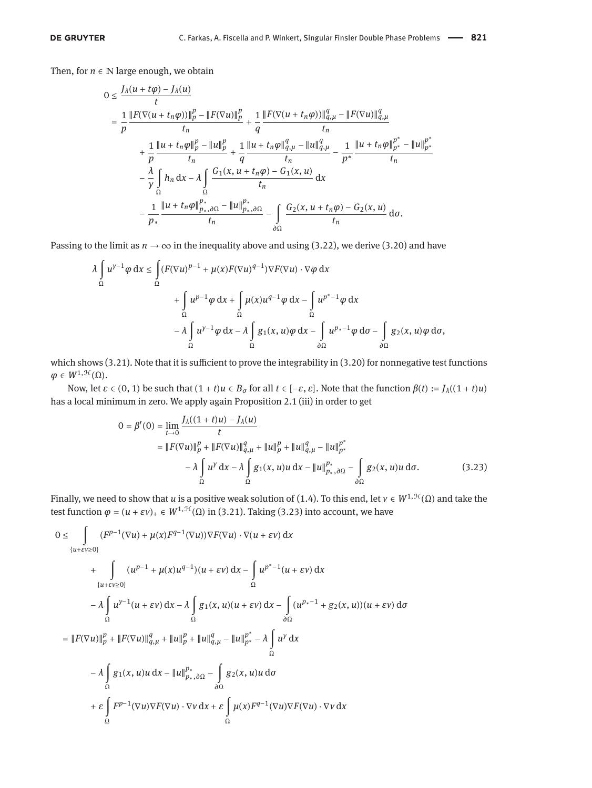Then, for  $n \in \mathbb{N}$  large enough, we obtain

$$
0 \leq \frac{J_{\lambda}(u + t\varphi) - J_{\lambda}(u)}{t}
$$
  
\n
$$
= \frac{1}{p} \frac{\|F(\nabla(u + t_{n}\varphi))\|_{p}^{p} - \|F(\nabla u)\|_{p}^{p}}{t_{n}} + \frac{1}{q} \frac{\|F(\nabla(u + t_{n}\varphi))\|_{q,\mu}^{q} - \|F(\nabla u)\|_{q,\mu}^{q}}{t_{n}} + \frac{1}{p} \frac{\|u + t_{n}\varphi\|_{p}^{p} - \|u\|_{p}^{p}}{t_{n}} + \frac{1}{q} \frac{\|u + t_{n}\varphi\|_{q,\mu}^{q} - \|u\|_{q,\mu}^{q}}{t_{n}} - \frac{1}{p^{*}} \frac{\|u + t_{n}\varphi\|_{p^{*}}^{p^{*}} - \|u\|_{p^{*}}^{p}}{t_{n}} - \frac{\lambda}{\gamma} \int_{\Omega} h_{n} dx - \lambda \int_{\Omega} \frac{G_{1}(x, u + t_{n}\varphi) - G_{1}(x, u)}{t_{n}} dx - \frac{1}{p_{*}} \frac{\|u + t_{n}\varphi\|_{p_{*},\partial\Omega}^{p^{*}} - \|u\|_{p_{*},\partial\Omega}^{p^{*}}}{t_{n}} - \int_{\partial\Omega} \frac{G_{2}(x, u + t_{n}\varphi) - G_{2}(x, u)}{t_{n}} d\sigma.
$$

Passing to the limit as  $n \to \infty$  in the inequality above and using [\(3.22\)](#page-11-0), we derive [\(3.20\)](#page-11-1) and have

$$
\lambda \int_{\Omega} u^{\gamma-1} \varphi \, dx \leq \int_{\Omega} (F(\nabla u)^{p-1} + \mu(x) F(\nabla u)^{q-1}) \nabla F(\nabla u) \cdot \nabla \varphi \, dx \n+ \int_{\Omega} u^{p-1} \varphi \, dx + \int_{\Omega} \mu(x) u^{q-1} \varphi \, dx - \int_{\Omega} u^{p^* - 1} \varphi \, dx \n- \lambda \int_{\Omega} u^{\gamma - 1} \varphi \, dx - \lambda \int_{\Omega} g_1(x, u) \varphi \, dx - \int_{\partial \Omega} u^{p^* - 1} \varphi \, d\sigma - \int_{\partial \Omega} g_2(x, u) \varphi \, d\sigma,
$$

which shows [\(3.21\)](#page-11-2). Note that it is sufficient to prove the integrability in [\(3.20\)](#page-11-1) for nonnegative test functions  $\varphi \in W^{1, \mathcal{H}}(\Omega)$ .

Now, let *ε* ∈ (0, 1) be such that  $(1 + t)u ∈ B<sub>σ</sub>$  for all  $t ∈ [-ε, ε]$ . Note that the function  $β(t) := J<sub>λ</sub>((1 + t)u)$ has a local minimum in zero. We apply again Proposition [2.1](#page-3-1) (iii) in order to get

<span id="page-12-0"></span>
$$
0 = \beta'(0) = \lim_{t \to 0} \frac{J_{\lambda}((1+t)u) - J_{\lambda}(u)}{t}
$$
  
=  $||F(\nabla u)||_p^p + ||F(\nabla u)||_{q,\mu}^q + ||u||_p^p + ||u||_{q,\mu}^q - ||u||_{p^*}^{p^*}$   

$$
- \lambda \int_{\Omega} u^{\gamma} dx - \lambda \int_{\Omega} g_1(x, u)u dx - ||u||_{p_*,\partial\Omega}^{p_*} - \int_{\partial\Omega} g_2(x, u)u d\sigma.
$$
 (3.23)

Finally, we need to show that *u* is a positive weak solution of [\(1.4\)](#page-1-2). To this end, let  $v \in W^{1, \mathcal{H}}(\Omega)$  and take the test function  $\varphi = (u + \varepsilon v)_+ \in W^{1, \mathcal{H}}(\Omega)$  in [\(3.21\)](#page-11-2). Taking [\(3.23\)](#page-12-0) into account, we have

$$
0 \leq \int_{\{u+\varepsilon v\geq 0\}} (F^{p-1}(\nabla u) + \mu(x)F^{q-1}(\nabla u))\nabla F(\nabla u) \cdot \nabla (u + \varepsilon v) dx
$$
  
+ 
$$
\int_{\{u+\varepsilon v\geq 0\}} (u^{p-1} + \mu(x)u^{q-1})(u + \varepsilon v) dx - \int_{\Omega} u^{p^*-1}(u + \varepsilon v) dx
$$
  
- 
$$
\lambda \int_{\Omega} u^{\gamma-1}(u + \varepsilon v) dx - \lambda \int_{\Omega} g_1(x, u)(u + \varepsilon v) dx - \int_{\partial \Omega} (u^{p_*-1} + g_2(x, u))(u + \varepsilon v) d\sigma
$$
  
= 
$$
||F(\nabla u)||_p^p + ||F(\nabla u)||_{q,\mu}^q + ||u||_p^p + ||u||_{q,\mu}^q - ||u||_{p^*}^{p^*} - \lambda \int_{\Omega} u^y dx
$$
  
- 
$$
\lambda \int_{\Omega} g_1(x, u)u dx - ||u||_{p_*,\partial \Omega}^{p_*} - \int_{\partial \Omega} g_2(x, u)u d\sigma
$$
  
+ 
$$
\varepsilon \int_{\Omega} F^{p-1}(\nabla u) \nabla F(\nabla u) \cdot \nabla v dx + \varepsilon \int_{\Omega} \mu(x) F^{q-1}(\nabla u) \nabla F(\nabla u) \cdot \nabla v dx
$$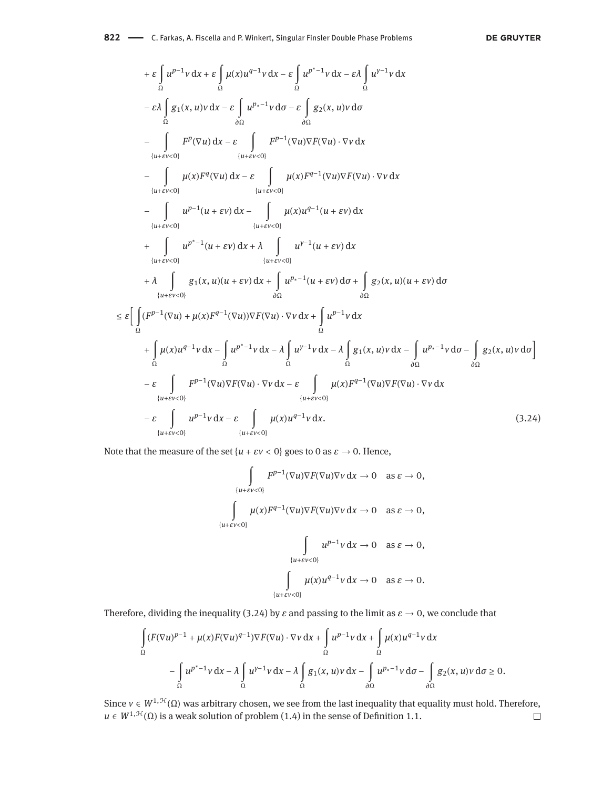#### 822 - C. Farkas, A. Fiscella and P. Winkert, Singular Finsler Double Phase Problems

#### **DE GRUYTER**

+ 
$$
\varepsilon \int_{\Omega} u^{p-1}v \,dx + \varepsilon \int_{\Omega} \mu(x)u^{q-1}v \,dx - \varepsilon \int_{\Omega} u^{p^*-1}v \,dx - \varepsilon \lambda \int_{\Omega} u^{y^*-1}v \,dx
$$
  
\n-  $\varepsilon \lambda \int_{\Omega} g_1(x, u)v \,dx - \varepsilon \int_{\partial \Omega} u^{p_x-1}v \,dx - \varepsilon \int_{\partial \Omega} g_2(x, u)v \,d\sigma$   
\n-  $\int_{\{u+v\vee 0\}} F^p(\nabla u) \,dx - \varepsilon \int_{\{u+v\vee 0\}} F^{p-1}(\nabla u)\nabla F(\nabla u) \cdot \nabla v \,dx$   
\n-  $\int_{\{u+v\vee 0\}} u(x)F^q(\nabla u) \,dx - \varepsilon \int_{\{u+v\vee 0\}} \mu(x)F^{q-1}(\nabla u)\nabla F(\nabla u) \cdot \nabla v \,dx$   
\n-  $\int_{\{u+v\vee 0\}} u^{p-1}(u+\varepsilon v) \,dx - \int_{\{u+v\vee 0\}} u(x)u^{q-1}(u+\varepsilon v) \,dx$   
\n+  $\int_{\{u+v\vee 0\}} u^{p^*-1}(u+\varepsilon v) \,dx + \lambda \int_{\{u+v\vee 0\}} u^{p^*-1}(u+\varepsilon v) \,d\sigma$   
\n+  $\lambda \int_{\{u+v\vee 0\}} g_1(x, u)(u+\varepsilon v) \,dx + \int_{\partial \Omega} u^{p^*-1}(u+\varepsilon v) \,d\sigma + \int_{\partial \Omega} g_2(x, u)(u+\varepsilon v) \,d\sigma$   
\n $\leq \varepsilon \Biggl[ \int_{\Omega} (F^{p-1}(\nabla u) + \mu(x)F^{q-1}(\nabla u))\nabla F(\nabla u) \cdot \nabla v \,dx + \int_{\Omega} u^{p-1}v \,dx$   
\n+  $\int_{\Omega} \mu(x)u^{q-1}v \,dx - \int_{\Omega} u^{p^*-1}v \,dx - \lambda \int_{\Omega} g_1(x, u)v \,dx - \int_{\partial$ 

Note that the measure of the set  $\{u + \varepsilon v < 0\}$  goes to 0 as  $\varepsilon \to 0$ . Hence,

<span id="page-13-0"></span>
$$
\int_{\{u+\varepsilon v<0\}} F^{p-1}(\nabla u) \nabla F(\nabla u) \nabla v \, dx \to 0 \quad \text{as } \varepsilon \to 0,
$$
  

$$
\int_{\{u+\varepsilon v<0\}} \mu(x) F^{q-1}(\nabla u) \nabla F(\nabla u) \nabla v \, dx \to 0 \quad \text{as } \varepsilon \to 0,
$$
  

$$
\int_{\{u+\varepsilon v<0\}} u^{p-1} v \, dx \to 0 \quad \text{as } \varepsilon \to 0,
$$
  

$$
\int_{\{u+\varepsilon v<0\}} \mu(x) u^{q-1} v \, dx \to 0 \quad \text{as } \varepsilon \to 0.
$$

Therefore, dividing the inequality [\(3.24\)](#page-13-0) by  $\varepsilon$  and passing to the limit as  $\varepsilon \to 0$ , we conclude that

$$
\int_{\Omega} (F(\nabla u)^{p-1} + \mu(x)F(\nabla u)^{q-1})\nabla F(\nabla u) \cdot \nabla v \, dx + \int_{\Omega} u^{p-1}v \, dx + \int_{\Omega} \mu(x)u^{q-1}v \, dx
$$

$$
- \int_{\Omega} u^{p^*-1}v \, dx - \lambda \int_{\Omega} u^{\gamma-1}v \, dx - \lambda \int_{\Omega} g_1(x, u)v \, dx - \int_{\partial \Omega} u^{p^*-1}v \, d\sigma - \int_{\partial \Omega} g_2(x, u)v \, d\sigma \ge 0.
$$

Since  $v \in W^{1,\mathcal{H}}(\Omega)$  was arbitrary chosen, we see from the last inequality that equality must hold. Therefore, *u* ∈  $W^{1,\mathcal{H}}(\Omega)$  is a weak solution of problem [\(1.4\)](#page-1-2) in the sense of Definition [1.1.](#page-2-2)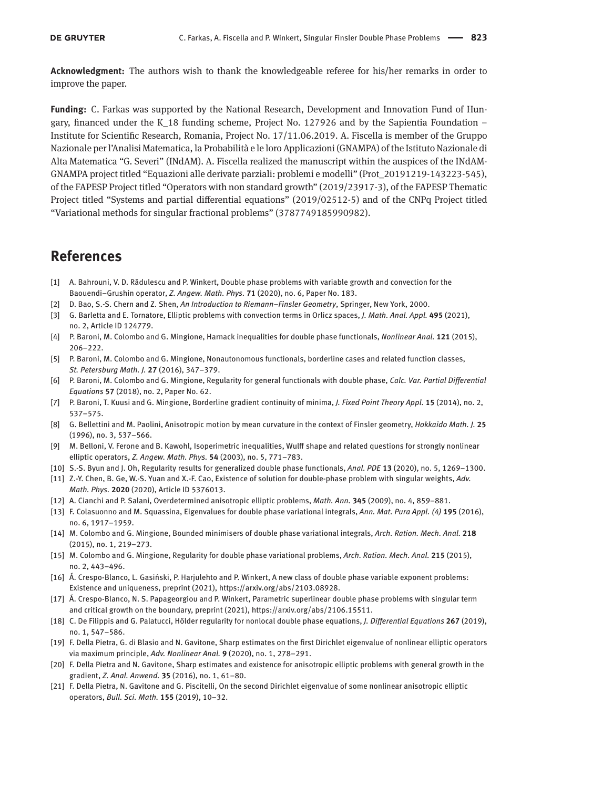**Acknowledgment:** The authors wish to thank the knowledgeable referee for his/her remarks in order to improve the paper.

**Funding:** C. Farkas was supported by the National Research, Development and Innovation Fund of Hungary, financed under the K\_18 funding scheme, Project No. 127926 and by the Sapientia Foundation  $-$ Institute for Scientific Research, Romania, Project No. 17/11.06.2019. A. Fiscella is member of the Gruppo Nazionale per l'Analisi Matematica, la Probabilità e le loro Applicazioni (GNAMPA) of the Istituto Nazionale di Alta Matematica "G. Severi" (INdAM). A. Fiscella realized the manuscript within the auspices of the INdAM-GNAMPA project titled "Equazioni alle derivate parziali: problemi e modelli" (Prot\_20191219-143223-545), of the FAPESP Project titled "Operators with non standard growth" (2019/23917-3), of the FAPESP Thematic Project titled "Systems and partial differential equations" (2019/02512-5) and of the CNPq Project titled "Variational methods for singular fractional problems" (3787749185990982).

## **References**

- <span id="page-14-17"></span>[1] A. Bahrouni, V. D. Rădulescu and P. Winkert, Double phase problems with variable growth and convection for the Baouendi–Grushin operator, *Z. Angew. Math. Phys.* **71** (2020), no. 6, Paper No. 183.
- <span id="page-14-19"></span>[2] D. Bao, S.-S. Chern and Z. Shen, *An Introduction to Riemann–Finsler Geometry*, Springer, New York, 2000.
- <span id="page-14-18"></span>[3] G. Barletta and E. Tornatore, Elliptic problems with convection terms in Orlicz spaces, *J. Math. Anal. Appl.* **495** (2021), no. 2, Article ID 124779.
- <span id="page-14-0"></span>[4] P. Baroni, M. Colombo and G. Mingione, Harnack inequalities for double phase functionals, *Nonlinear Anal.* **121** (2015), 206–222.
- [5] P. Baroni, M. Colombo and G. Mingione, Nonautonomous functionals, borderline cases and related function classes, *St. Petersburg Math. J.* **27** (2016), 347–379.
- <span id="page-14-1"></span>[6] P. Baroni, M. Colombo and G. Mingione, Regularity for general functionals with double phase, *Calc. Var. Partial Differential Equations* **57** (2018), no. 2, Paper No. 62.
- <span id="page-14-2"></span>[7] P. Baroni, T. Kuusi and G. Mingione, Borderline gradient continuity of minima, *J. Fixed Point Theory Appl.* **15** (2014), no. 2, 537–575.
- <span id="page-14-8"></span>[8] G. Bellettini and M. Paolini, Anisotropic motion by mean curvature in the context of Finsler geometry, *Hokkaido Math. J.* **25** (1996), no. 3, 537–566.
- <span id="page-14-9"></span>[9] M. Belloni, V. Ferone and B. Kawohl, Isoperimetric inequalities, Wulff shape and related questions for strongly nonlinear elliptic operators, *Z. Angew. Math. Phys.* **54** (2003), no. 5, 771–783.
- <span id="page-14-3"></span>[10] S.-S. Byun and J. Oh, Regularity results for generalized double phase functionals, *Anal. PDE* **13** (2020), no. 5, 1269–1300.
- <span id="page-14-15"></span>[11] Z.-Y. Chen, B. Ge, W.-S. Yuan and X.-F. Cao, Existence of solution for double-phase problem with singular weights, *Adv. Math. Phys.* **2020** (2020), Article ID 5376013.
- <span id="page-14-7"></span>[12] A. Cianchi and P. Salani, Overdetermined anisotropic elliptic problems, *Math. Ann.* **345** (2009), no. 4, 859–881.
- <span id="page-14-16"></span>[13] F. Colasuonno and M. Squassina, Eigenvalues for double phase variational integrals, *Ann. Mat. Pura Appl. (4)* **195** (2016), no. 6, 1917–1959.
- <span id="page-14-4"></span>[14] M. Colombo and G. Mingione, Bounded minimisers of double phase variational integrals, *Arch. Ration. Mech. Anal.* **218** (2015), no. 1, 219–273.
- <span id="page-14-5"></span>[15] M. Colombo and G. Mingione, Regularity for double phase variational problems, *Arch. Ration. Mech. Anal.* **215** (2015), no. 2, 443–496.
- <span id="page-14-13"></span>[16] Á. Crespo-Blanco, L. Gasiński, P. Harjulehto and P. Winkert, A new class of double phase variable exponent problems: Existence and uniqueness, preprint (2021), [https://arxiv.org/abs/2103.08928.](https://arxiv.org/abs/2103.08928)
- <span id="page-14-14"></span>[17] Á. Crespo-Blanco, N. S. Papageorgiou and P. Winkert, Parametric superlinear double phase problems with singular term and critical growth on the boundary, preprint (2021), [https://arxiv.org/abs/2106.15511.](https://arxiv.org/abs/2106.15511)
- <span id="page-14-6"></span>[18] C. De Filippis and G. Palatucci, Hölder regularity for nonlocal double phase equations, *J. Differential Equations* **267** (2019), no. 1, 547–586.
- <span id="page-14-11"></span>[19] F. Della Pietra, G. di Blasio and N. Gavitone, Sharp estimates on the first Dirichlet eigenvalue of nonlinear elliptic operators via maximum principle, *Adv. Nonlinear Anal.* **9** (2020), no. 1, 278–291.
- <span id="page-14-10"></span>[20] F. Della Pietra and N. Gavitone, Sharp estimates and existence for anisotropic elliptic problems with general growth in the gradient, *Z. Anal. Anwend.* **35** (2016), no. 1, 61–80.
- <span id="page-14-12"></span>[21] F. Della Pietra, N. Gavitone and G. Piscitelli, On the second Dirichlet eigenvalue of some nonlinear anisotropic elliptic operators, *Bull. Sci. Math.* **155** (2019), 10–32.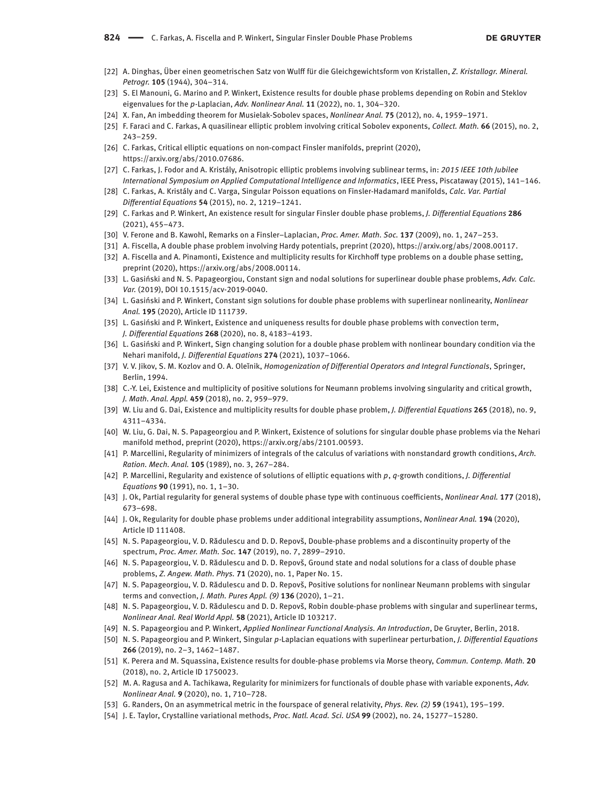- <span id="page-15-6"></span>[22] A. Dinghas, Über einen geometrischen Satz von Wulff für die Gleichgewichtsform von Kristallen, *Z. Kristallogr. Mineral. Petrogr.* **105** (1944), 304–314.
- <span id="page-15-18"></span>[23] S. El Manouni, G. Marino and P. Winkert, Existence results for double phase problems depending on Robin and Steklov eigenvalues for the *p*-Laplacian, *Adv. Nonlinear Anal.* **11** (2022), no. 1, 304–320.
- <span id="page-15-12"></span>[24] X. Fan, An imbedding theorem for Musielak-Sobolev spaces, *Nonlinear Anal.* **75** (2012), no. 4, 1959–1971.
- <span id="page-15-27"></span>[25] F. Faraci and C. Farkas, A quasilinear elliptic problem involving critical Sobolev exponents, *Collect. Math.* **66** (2015), no. 2, 243–259.
- <span id="page-15-9"></span>[26] C. Farkas, Critical elliptic equations on non-compact Finsler manifolds, preprint (2020), [https://arxiv.org/abs/2010.07686.](https://arxiv.org/abs/2010.07686)
- <span id="page-15-8"></span>[27] C. Farkas, J. Fodor and A. Kristály, Anisotropic elliptic problems involving sublinear terms, in: *2015 IEEE 10th Jubilee International Symposium on Applied Computational Intelligence and Informatics*, IEEE Press, Piscataway (2015), 141–146.
- <span id="page-15-10"></span>[28] C. Farkas, A. Kristály and C. Varga, Singular Poisson equations on Finsler-Hadamard manifolds, *Calc. Var. Partial Differential Equations* **54** (2015), no. 2, 1219–1241.
- <span id="page-15-14"></span>[29] C. Farkas and P. Winkert, An existence result for singular Finsler double phase problems, *J. Differential Equations* **286** (2021), 455–473.
- <span id="page-15-11"></span>[30] V. Ferone and B. Kawohl, Remarks on a Finsler–Laplacian, *Proc. Amer. Math. Soc.* **137** (2009), no. 1, 247–253.
- <span id="page-15-19"></span>[31] A. Fiscella, A double phase problem involving Hardy potentials, preprint (2020), [https://arxiv.org/abs/2008.00117.](https://arxiv.org/abs/2008.00117)
- <span id="page-15-20"></span>[32] A. Fiscella and A. Pinamonti, Existence and multiplicity results for Kirchhoff type problems on a double phase setting, preprint (2020), [https://arxiv.org/abs/2008.00114.](https://arxiv.org/abs/2008.00114)
- <span id="page-15-21"></span>[33] L. Gasiński and N. S. Papageorgiou, Constant sign and nodal solutions for superlinear double phase problems, *Adv. Calc. Var.* (2019), DOI 10.1515/acv-2019-0040.
- <span id="page-15-22"></span>[34] L. Gasiński and P. Winkert, Constant sign solutions for double phase problems with superlinear nonlinearity, *Nonlinear Anal.* **195** (2020), Article ID 111739.
- [35] L. Gasiński and P. Winkert, Existence and uniqueness results for double phase problems with convection term, *J. Differential Equations* **268** (2020), no. 8, 4183–4193.
- <span id="page-15-23"></span>[36] L. Gasiński and P. Winkert, Sign changing solution for a double phase problem with nonlinear boundary condition via the Nehari manifold, *J. Differential Equations* **274** (2021), 1037–1066.
- <span id="page-15-0"></span>[37] V. V. Jikov, S. M. Kozlov and O. A. Oleĭnik, *Homogenization of Differential Operators and Integral Functionals*, Springer, Berlin, 1994.
- <span id="page-15-17"></span>[38] C.-Y. Lei, Existence and multiplicity of positive solutions for Neumann problems involving singularity and critical growth, *J. Math. Anal. Appl.* **459** (2018), no. 2, 959–979.
- <span id="page-15-24"></span>[39] W. Liu and G. Dai, Existence and multiplicity results for double phase problem, *J. Differential Equations* **265** (2018), no. 9, 4311–4334.
- <span id="page-15-13"></span>[40] W. Liu, G. Dai, N. S. Papageorgiou and P. Winkert, Existence of solutions for singular double phase problems via the Nehari manifold method, preprint (2020), [https://arxiv.org/abs/2101.00593.](https://arxiv.org/abs/2101.00593)
- <span id="page-15-1"></span>[41] P. Marcellini, Regularity of minimizers of integrals of the calculus of variations with nonstandard growth conditions, *Arch. Ration. Mech. Anal.* **105** (1989), no. 3, 267–284.
- <span id="page-15-2"></span>[42] P. Marcellini, Regularity and existence of solutions of elliptic equations with *p*, *q*-growth conditions, *J. Differential Equations* **90** (1991), no. 1, 1–30.
- <span id="page-15-3"></span>[43] J. Ok, Partial regularity for general systems of double phase type with continuous coefficients, *Nonlinear Anal.* **177** (2018), 673–698.
- <span id="page-15-4"></span>[44] J. Ok, Regularity for double phase problems under additional integrability assumptions, *Nonlinear Anal.* **194** (2020), Article ID 111408.
- <span id="page-15-28"></span>[45] N. S. Papageorgiou, V. D. Rădulescu and D. D. Repovš, Double-phase problems and a discontinuity property of the spectrum, *Proc. Amer. Math. Soc.* **147** (2019), no. 7, 2899–2910.
- <span id="page-15-25"></span>[46] N. S. Papageorgiou, V. D. Rădulescu and D. D. Repovš, Ground state and nodal solutions for a class of double phase problems, *Z. Angew. Math. Phys.* **71** (2020), no. 1, Paper No. 15.
- <span id="page-15-15"></span>[47] N. S. Papageorgiou, V. D. Rădulescu and D. D. Repovš, Positive solutions for nonlinear Neumann problems with singular terms and convection, *J. Math. Pures Appl. (9)* **136** (2020), 1–21.
- <span id="page-15-16"></span>[48] N. S. Papageorgiou, V. D. Rădulescu and D. D. Repovš, Robin double-phase problems with singular and superlinear terms, *Nonlinear Anal. Real World Appl.* **58** (2021), Article ID 103217.
- <span id="page-15-31"></span>[49] N. S. Papageorgiou and P. Winkert, *Applied Nonlinear Functional Analysis. An Introduction*, De Gruyter, Berlin, 2018.
- <span id="page-15-29"></span>[50] N. S. Papageorgiou and P. Winkert, Singular *p*-Laplacian equations with superlinear perturbation, *J. Differential Equations* **266** (2019), no. 2–3, 1462–1487.
- <span id="page-15-26"></span>[51] K. Perera and M. Squassina, Existence results for double-phase problems via Morse theory, *Commun. Contemp. Math.* **20** (2018), no. 2, Article ID 1750023.
- <span id="page-15-5"></span>[52] M. A. Ragusa and A. Tachikawa, Regularity for minimizers for functionals of double phase with variable exponents, *Adv. Nonlinear Anal.* **9** (2020), no. 1, 710–728.
- <span id="page-15-30"></span>[53] G. Randers, On an asymmetrical metric in the fourspace of general relativity, *Phys. Rev. (2)* **59** (1941), 195–199.
- <span id="page-15-7"></span>[54] J. E. Taylor, Crystalline variational methods, *Proc. Natl. Acad. Sci. USA* **99** (2002), no. 24, 15277–15280.